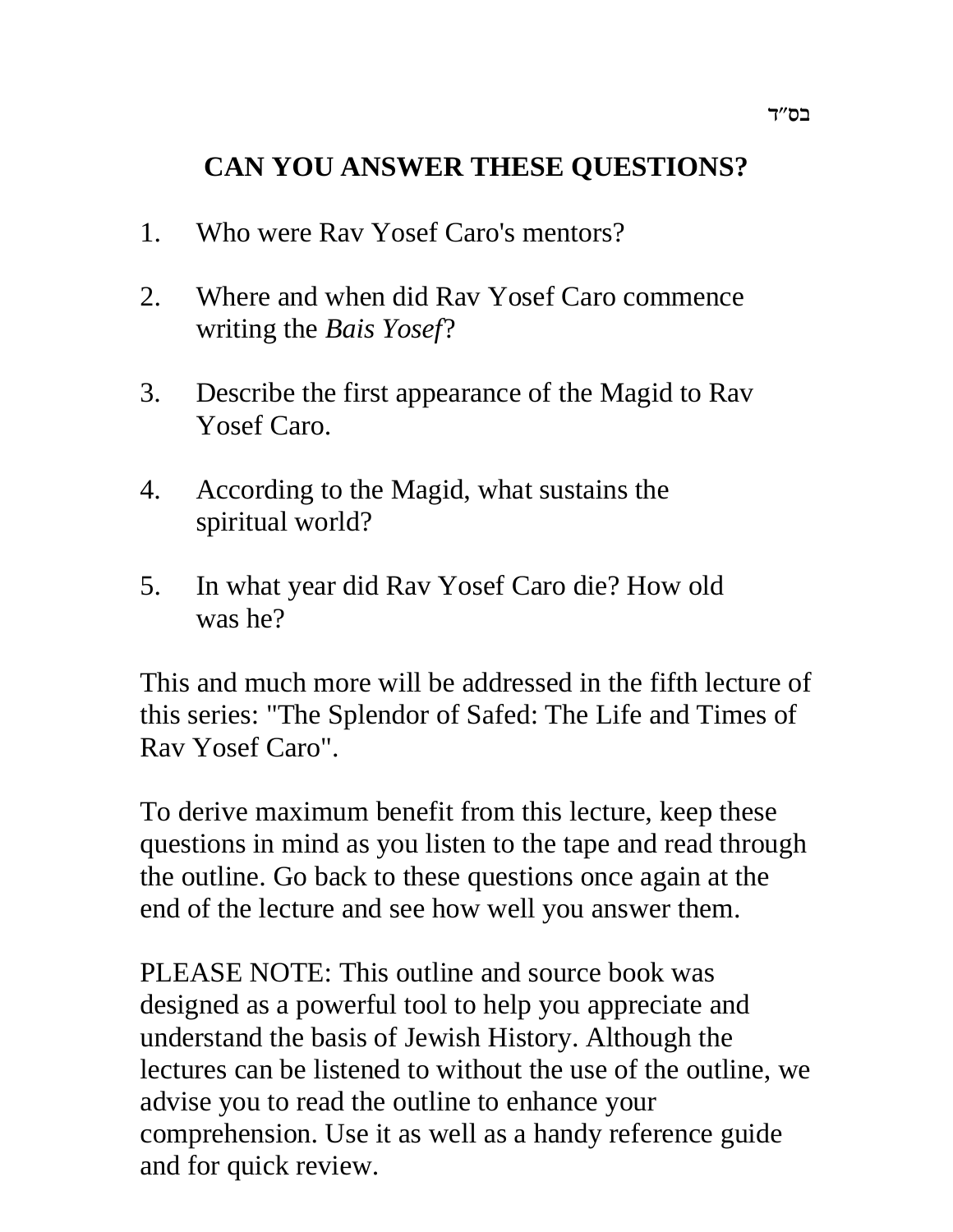# **CAN YOU ANSWER THESE QUESTIONS?**

- 1. Who were Rav Yosef Caro's mentors?
- 2. Where and when did Rav Yosef Caro commence writing the *Bais Yosef*?
- 3. Describe the first appearance of the Magid to Rav Yosef Caro.
- 4. According to the Magid, what sustains the spiritual world?
- 5. In what year did Rav Yosef Caro die? How old was he?

This and much more will be addressed in the fifth lecture of this series: "The Splendor of Safed: The Life and Times of Rav Yosef Caro".

To derive maximum benefit from this lecture, keep these questions in mind as you listen to the tape and read through the outline. Go back to these questions once again at the end of the lecture and see how well you answer them.

PLEASE NOTE: This outline and source book was designed as a powerful tool to help you appreciate and understand the basis of Jewish History. Although the lectures can be listened to without the use of the outline, we advise you to read the outline to enhance your comprehension. Use it as well as a handy reference guide and for quick review.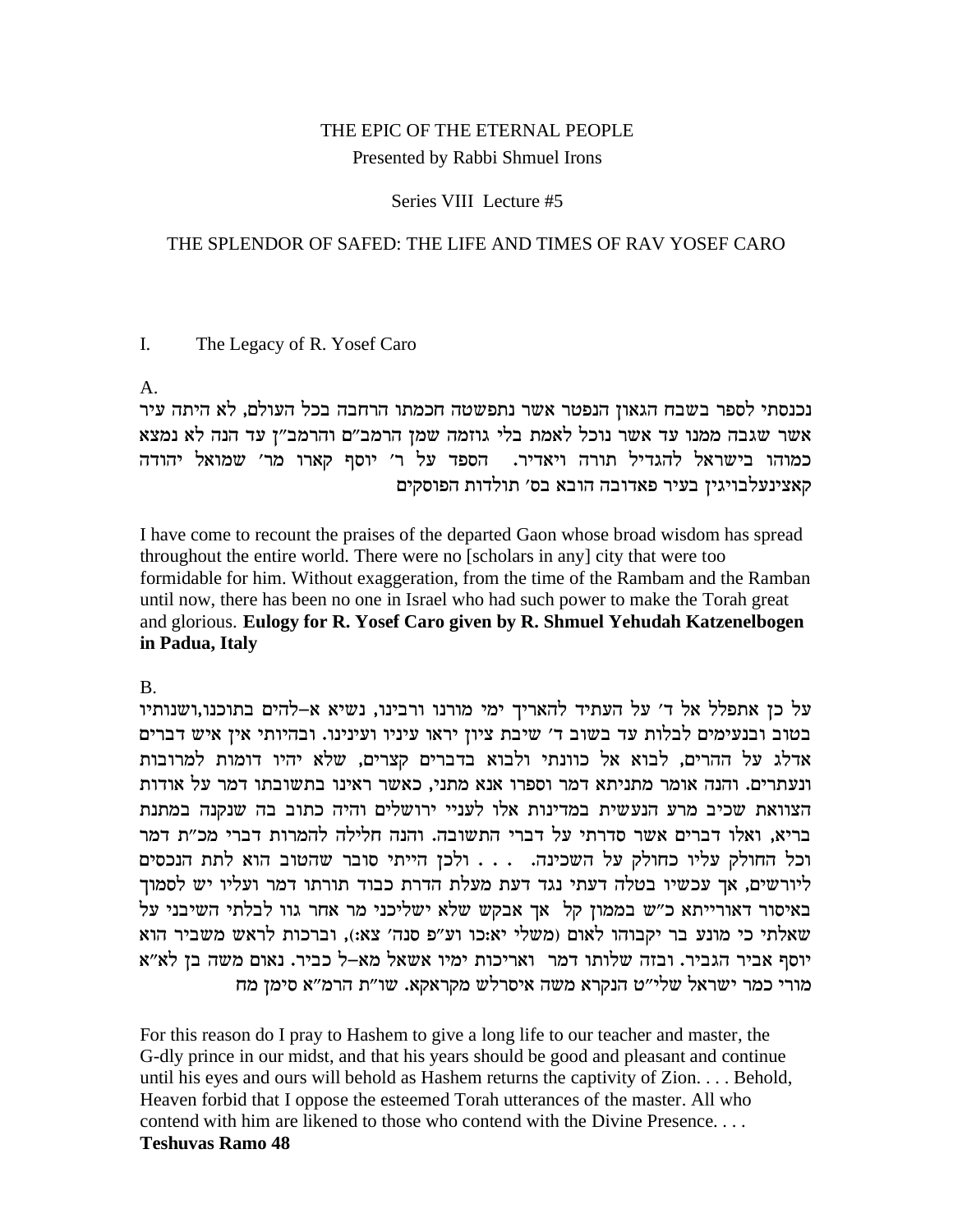# THE EPIC OF THE ETERNAL PEOPLE Presented by Rabbi Shmuel Irons

### Series VIII Lecture #5

### THE SPLENDOR OF SAFED: THE LIFE AND TIMES OF RAV YOSEF CARO

#### $\overline{L}$ The Legacy of R. Yosef Caro

### $A<sub>1</sub>$

נכנסתי לספר בשבח הגאון הנפטר אשר נתפשטה חכמתו הרחבה בכל העולם, לא היתה עיר אשר שגבה ממנו עד אשר נוכל לאמת בלי גוזמה שמן הרמב״ם והרמב״ן עד הנה לא נמצא כמוהו בישראל להגדיל תורה ויאדיר. הספד על ר׳ יוסף קארו מר׳ שמואל יהודה קאצינעלבויגין בעיר פאדובה הובא בס׳ תולדות הפוסקים

I have come to recount the praises of the departed Gaon whose broad wisdom has spread throughout the entire world. There were no [scholars in any] city that were too formidable for him. Without exaggeration, from the time of the Rambam and the Ramban until now, there has been no one in Israel who had such power to make the Torah great and glorious. Eulogy for R. Yosef Caro given by R. Shmuel Yehudah Katzenelbogen in Padua, Italy

## $B<sub>1</sub>$

על כן אתפלל אל ד' על העתיד להאריך ימי מורנו ורבינו, נשיא א-להים בתוכנו,ושנותיו בטוב ובנעימים לבלות עד בשוב ד׳ שיבת ציון יראו עיניו ועינינו. ובהיותי אין איש דברים אדלג על ההרים, לבוא אל כוונתי ולבוא בדברים קצרים, שלא יהיו דומות למרובות ונעתרים. והנה אומר מתניתא דמר וספרו אנא מתני, כאשר ראינו בתשובתו דמר על אודות הצוואת שכיב מרע הנעשית במדינות אלו לעניי ירושלים והיה כתוב בה שנקנה במתנת בריא, ואלו דברים אשר סדרתי על דברי התשובה. והנה חלילה להמרות דברי מכ״ת דמר וכל החולק עליו כחולק על השכינה. . . . ולכן הייתי סובר שהטוב הוא לתת הנכסים ליורשים, אך עכשיו בטלה דעתי נגד דעת מעלת הדרת כבוד תורתו דמר ועליו יש לסמוך באיסור דאורייתא כ"ש בממון קל אך אבקש שלא ישליכני מר אחר גוו לבלתי השיבני על שאלתי כי מונע בר יקבוהו לאום (משלי יא:כו וע"פ סנה' צא:), וברכות לראש משביר הוא יוסף אביר הגביר. ובזה שלותו דמר ואריכות ימיו אשאל מא-ל כביר. נאום משה בן לא"א מורי כמר ישראל שלי״ט הנקרא משה איסרלש מקראקא. שו״ת הרמ״א סימן מח

For this reason do I pray to Hashem to give a long life to our teacher and master, the G-dly prince in our midst, and that his years should be good and pleasant and continue until his eyes and ours will behold as Hashem returns the captivity of Zion. . . . Behold, Heaven forbid that I oppose the esteemed Torah utterances of the master. All who contend with him are likened to those who contend with the Divine Presence... **Teshuvas Ramo 48**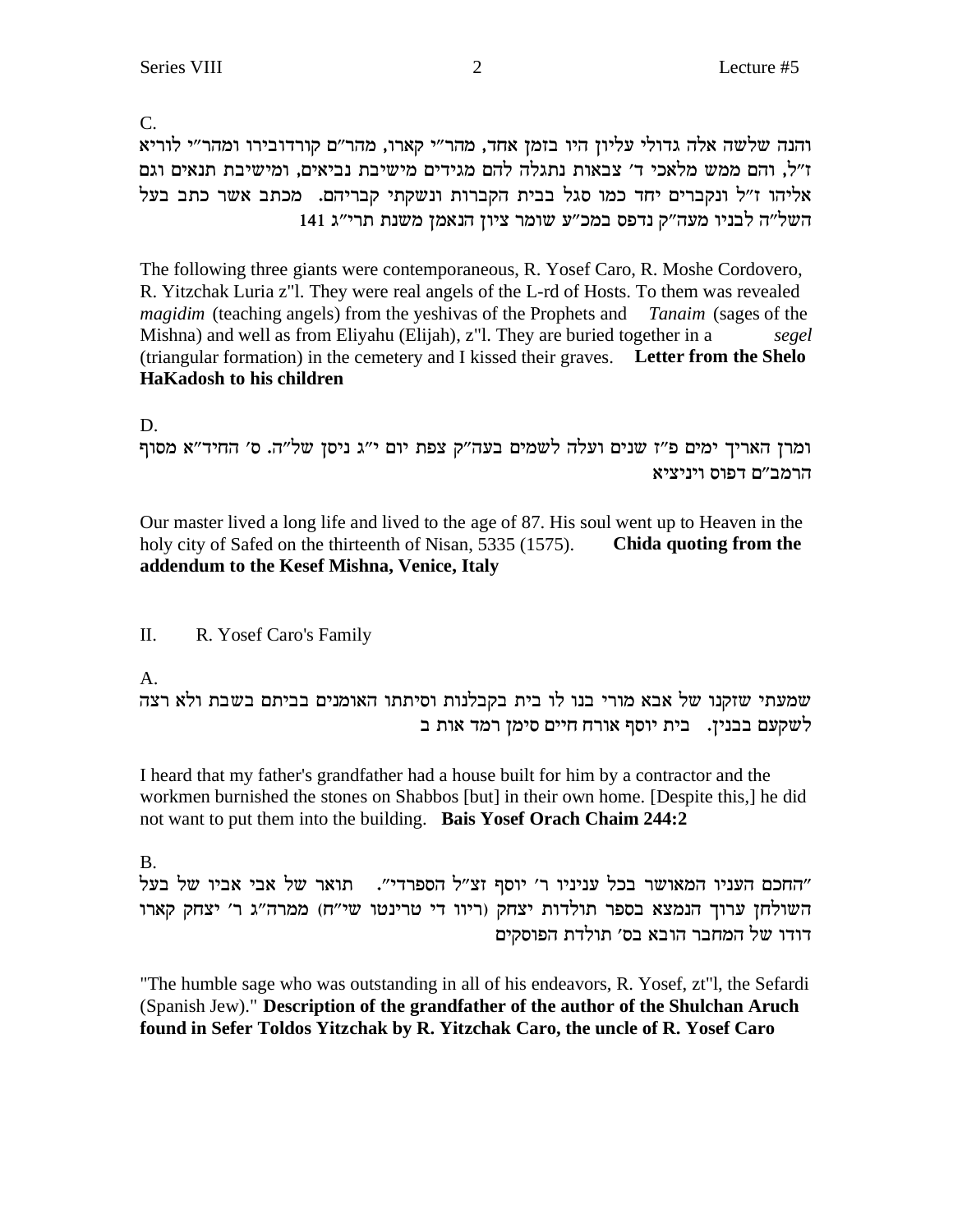C.

והנה שלשה אלה גדולי עליון היו בזמן אחד, מהר"י קארו, מהר"ם קורדובירו ומהר"י לוריא ז״ל, והם ממש מלאכי ד׳ צבאות נתגלה להם מגידים מישיבת נביאים, ומישיבת תנאים וגם אליהו ז"ל ונקברים יחד כמו סגל בבית הקברות ונשקתי קבריהם. מכתב אשר כתב בעל השל"ה לבניו מעה"ק נדפס במכ"ע שומר ציון הנאמן משנת תרי"ג 141

The following three giants were contemporaneous, R. Yosef Caro, R. Moshe Cordovero, R. Yitzchak Luria z"l. They were real angels of the L-rd of Hosts. To them was revealed magidim (teaching angels) from the yeshivas of the Prophets and Tanaim (sages of the Mishna) and well as from Eliyahu (Elijah), z"l. They are buried together in a segel (triangular formation) in the cemetery and I kissed their graves. Letter from the Shelo **HaKadosh to his children** 

D.

ומרן האריך ימים פ"ז שנים ועלה לשמים בעה"ק צפת יום י"ג ניסן של"ה. ס' החיד"א מסוף הרמב״ם דפוס ויניציא

Our master lived a long life and lived to the age of 87. His soul went up to Heaven in the holy city of Safed on the thirteenth of Nisan, 5335 (1575). Chida quoting from the addendum to the Kesef Mishna, Venice, Italy

II. R. Yosef Caro's Family

 $A_{\cdot}$ 

שמעתי שזקנו של אבא מורי בנו לו בית בקבלנות וסיתתו האומנים בביתם בשבת ולא רצה לשקעם בבנין. בית יוסף אורח חיים סימן רמד אות ב

I heard that my father's grandfather had a house built for him by a contractor and the workmen burnished the stones on Shabbos [but] in their own home. [Despite this,] he did not want to put them into the building. Bais Yosef Orach Chaim 244:2

**B.** 

"החכם העניו המאושר בכל עניניו ר' יוסף זצ"ל הספרדי". תואר של אבי אביו של בעל השולחן ערוך הנמצא בספר תולדות יצחק (ריוו די טרינטו שי"ח) ממרה"ג ר' יצחק קארו דודו של המחבר הובא בס׳ תולדת הפוסקים

"The humble sage who was outstanding in all of his endeavors, R. Yosef, zt"l, the Sefardi (Spanish Jew)." Description of the grandfather of the author of the Shulchan Aruch found in Sefer Toldos Yitzchak by R. Yitzchak Caro, the uncle of R. Yosef Caro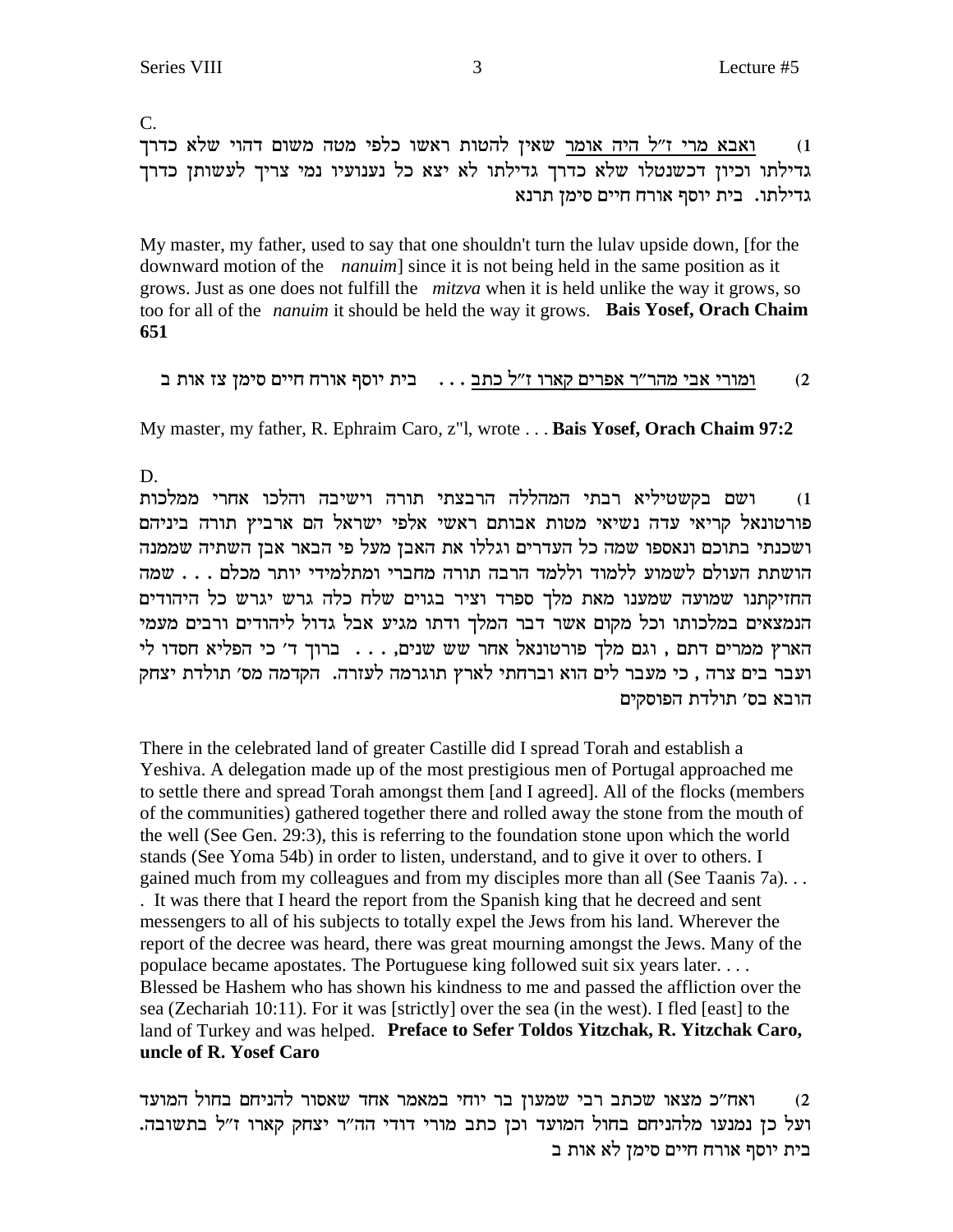$\overline{C}$ . ואבא מרי ז"ל היה אומר שאין להטות ראשו כלפי מטה משום דהוי שלא כדרך  $(1)$ גדילתו וכיון דכשנטלו שלא כדרך גדילתו לא יצא כל נענועיו נמי צריך לעשותן כדרך גדילתו. בית יוסף אורח חיים סימן תרנא

My master, my father, used to say that one shouldn't turn the lulay upside down, [for the downward motion of the *nanuim* since it is not being held in the same position as it grows. Just as one does not fulfill the *mitzva* when it is held unlike the way it grows, so too for all of the *nanum* it should be held the way it grows. **Bais Yosef, Orach Chaim** 651

```
ומורי אבי מהר״ר אפרים קארו ז״ל כתב . . . _ בית יוסף אורח חיים סימן צז אות ב
                                                                    (2)
```
My master, my father, R. Ephraim Caro, z"l, wrote ... Bais Yosef, Orach Chaim 97:2

D.

ושם בקשטיליא רבתי המהללה הרבצתי תורה וישיבה והלכו אחרי ממלכות  $(1)$ פורטונאל קריאי עדה נשיאי מטות אבותם ראשי אלפי ישראל הם ארביץ תורה ביניהם ושכנתי בתוכם ונאספו שמה כל העדרים וגללו את האבן מעל פי הבאר אבן השתיה שממנה הושתת העולם לשמוע ללמוד וללמד הרבה תורה מחברי ומתלמידי יותר מכלם . . . שמה החזיקתנו שמועה שמענו מאת מלך ספרד וציר בגוים שלח כלה גרש יגרש כל היהודים הנמצאים במלכותו וכל מקום אשר דבר המלך ודתו מגיע אבל גדול ליהודים ורבים מעמי הארץ ממרים דתם , וגם מלך פורטונאל אחר שש שנים, . . . ברוך ד׳ כי הפליא חסדו לי ועבר בים צרה , כי מעבר לים הוא וברחתי לארץ תוגרמה לעזרה. הקדמה מס׳ תולדת יצחק הובא בס׳ תולדת הפוסקים

There in the celebrated land of greater Castille did I spread Torah and establish a Yeshiva. A delegation made up of the most prestigious men of Portugal approached me to settle there and spread Torah amongst them [and I agreed]. All of the flocks (members of the communities) gathered together there and rolled away the stone from the mouth of the well (See Gen. 29:3), this is referring to the foundation stone upon which the world stands (See Yoma 54b) in order to listen, understand, and to give it over to others. I gained much from my colleagues and from my disciples more than all (See Taanis 7a)... . It was there that I heard the report from the Spanish king that he decreed and sent messengers to all of his subjects to totally expel the Jews from his land. Wherever the report of the decree was heard, there was great mourning amongst the Jews. Many of the populace became apostates. The Portuguese king followed suit six years later.... Blessed be Hashem who has shown his kindness to me and passed the affliction over the sea (Zechariah 10:11). For it was [strictly] over the sea (in the west). I fled [east] to the land of Turkey and was helped. Preface to Sefer Toldos Yitzchak, R. Yitzchak Caro, uncle of R. Yosef Caro

ואח״כ מצאו שכתב רבי שמעון בר יוחי במאמר אחד שאסור להניחם בחול המועד  $(2)$ ועל כן נמנעו מלהניחם בחול המועד וכן כתב מורי דודי הה"ר יצחק קארו ז"ל בתשובה. בית יוסף אורח חיים סימן לא אות ב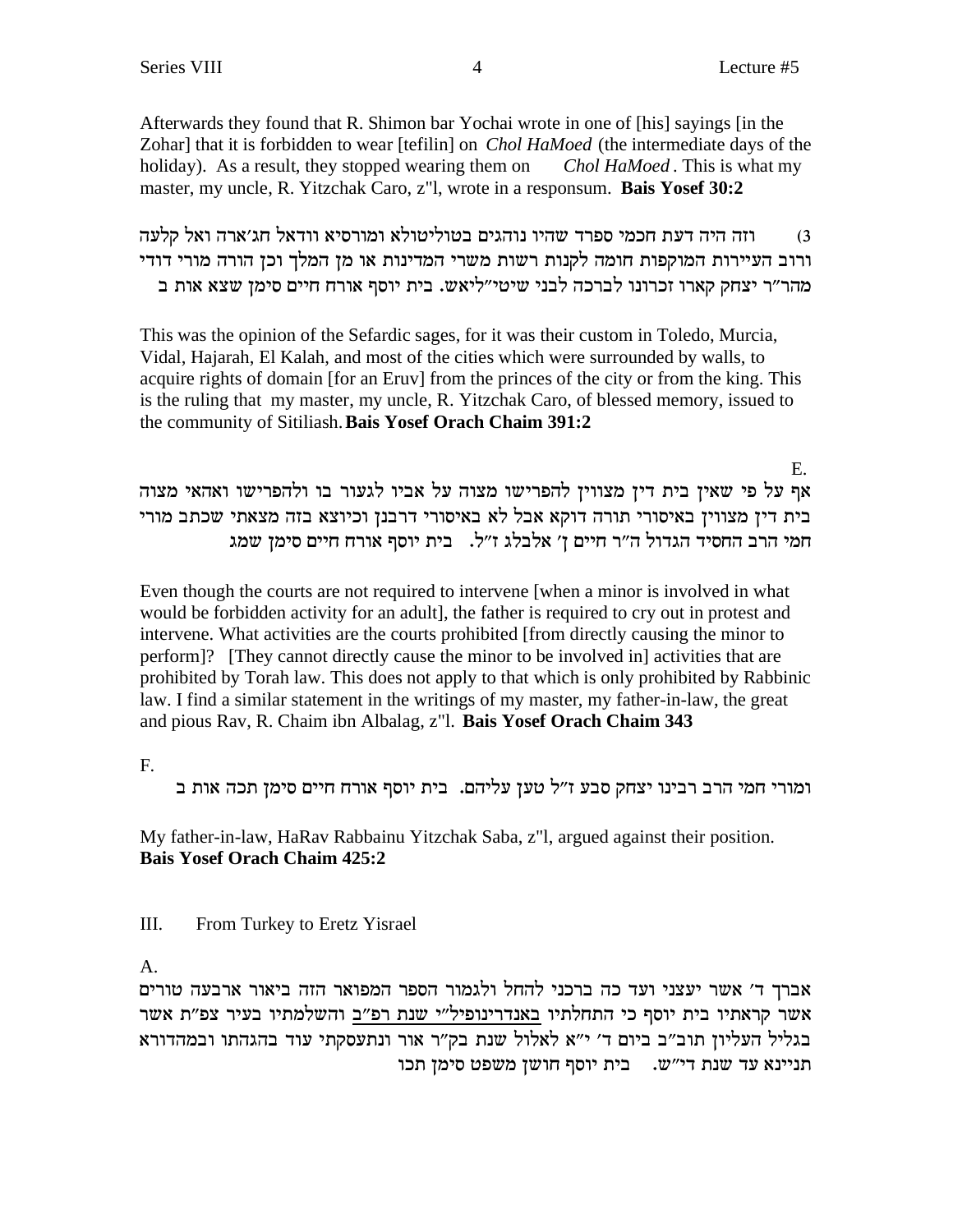Afterwards they found that R. Shimon bar Yochai wrote in one of [his] sayings [in the Zohar] that it is forbidden to wear [tefilin] on *Chol HaMoed* (the intermediate days of the holiday). As a result, they stopped wearing them on Chol HaMoed. This is what my master, my uncle, R. Yitzchak Caro, z"l, wrote in a responsum. Bais Yosef 30:2

וזה היה דעת חכמי ספרד שהיו נוהגים בטוליטולא ומורסיא וודאל חג׳ארה ואל קלעה  $(3)$ ורוב העיירות המוקפות חומה לקנות רשות משרי המדינות או מן המלך וכן הורה מורי דודי מהר"ר יצחק קארו זכרונו לברכה לבני שיטי"ליאש. בית יוסף אורח חיים סימן שצא אות ב

This was the opinion of the Sefardic sages, for it was their custom in Toledo, Murcia, Vidal, Hajarah, El Kalah, and most of the cities which were surrounded by walls, to acquire rights of domain [for an Eruy] from the princes of the city or from the king. This is the ruling that my master, my uncle, R. Yitzchak Caro, of blessed memory, issued to the community of Sitiliash. Bais Yosef Orach Chaim 391:2

 $E_{\perp}$ אף על פי שאין בית דין מצווין להפרישו מצוה על אביו לגעור בו ולהפרישו ואהאי מצוה בית דין מצווין באיסורי תורה דוקא אבל לא באיסורי דרבנן וכיוצא בזה מצאתי שכתב מורי חמי הרב החסיד הגדול ה"ר חיים ז' אלבלג ז"ל. בית יוסף אורח חיים סימן שמג

Even though the courts are not required to intervene when a minor is involved in what would be forbidden activity for an adult], the father is required to cry out in protest and intervene. What activities are the courts prohibited [from directly causing the minor to perform]? [They cannot directly cause the minor to be involved in activities that are prohibited by Torah law. This does not apply to that which is only prohibited by Rabbinic law. I find a similar statement in the writings of my master, my father-in-law, the great and pious Rav, R. Chaim ibn Albalag, z"l. Bais Yosef Orach Chaim 343

 $F_{\cdot}$ 

ומורי חמי הרב רבינו יצחק סבע ז"ל טען עליהם. בית יוסף אורח חיים סימן תכה אות ב

My father-in-law, HaRav Rabbainu Yitzchak Saba, z"l, argued against their position. **Bais Yosef Orach Chaim 425:2** 

III. From Turkey to Eretz Yisrael

A.

אברך ד׳ אשר יעצני ועד כה ברכני להחל ולגמור הספר המפואר הזה ביאור ארבעה טורים אשר קראתיו בית יוסף כי התחלתיו באנדרינופיל"י שנת רפ"ב והשלמתיו בעיר צפ"ת אשר בגליל העליון תוב"ב ביום ד' י"א לאלול שנת בק"ר אור ונתעסקתי עוד בהגהתו ובמהדורא תניינא עד שנת די"ש. בית יוסף חושן משפט סימן תכו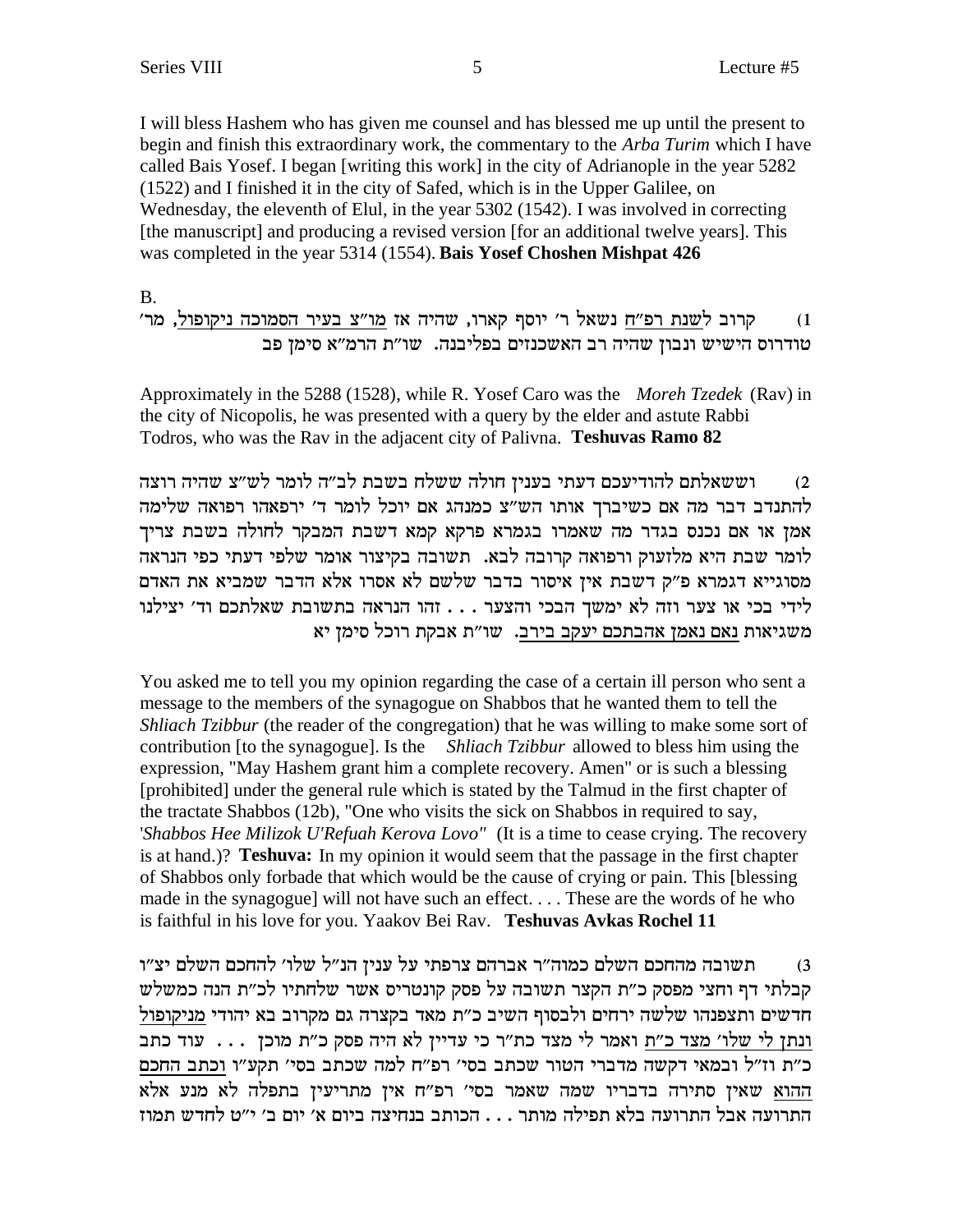I will bless Hashem who has given me counsel and has blessed me up until the present to begin and finish this extraordinary work, the commentary to the *Arba Turim* which I have called Bais Yosef. I began [writing this work] in the city of Adrianople in the year 5282 (1522) and I finished it in the city of Safed, which is in the Upper Galilee, on Wednesday, the eleventh of Elul, in the year 5302 (1542). I was involved in correcting [the manuscript] and producing a revised version [for an additional twelve years]. This was completed in the year 5314 (1554). Bais Yosef Choshen Mishpat 426

### **B.**

### קרוב לשנת רפ"ח נשאל ר' יוסף קארו, שהיה אז מו"צ בעיר הסמוכה ניקופול, מר'  $(1)$ טודרוס הישיש ונבון שהיה רב האשכנזים בפליבנה. שו״ת הרמ״א סימן פב

Approximately in the 5288 (1528), while R. Yosef Caro was the Moreh Tzedek (Rav) in the city of Nicopolis, he was presented with a query by the elder and astute Rabbi Todros, who was the Rav in the adjacent city of Palivna. Teshuvas Ramo 82

וששאלתם להודיעכם דעתי בענין חולה ששלח בשבת לב"ה לומר לש"צ שהיה רוצה  $(2)$ להתנדב דבר מה אם כשיברך אותו הש"צ כמנהג אם יוכל לומר ד' ירפאהו רפואה שלימה אמן או אם נכנס בגדר מה שאמרו בגמרא פרקא קמא דשבת המבקר לחולה בשבת צריך לומר שבת היא מלזעוק ורפואה קרובה לבא. תשובה בקיצור אומר שלפי דעתי כפי הנראה מסוגייא דגמרא פ"ק דשבת אין איסור בדבר שלשם לא אסרו אלא הדבר שמביא את האדם לידי בכי או צער וזה לא ימשך הבכי והצער . . . זהו הנראה בתשובת שאלתכם וד׳ יצילנו משגיאות נאם נאמן אהבתכם יעקב בירב. שו"ת אבקת רוכל סימן יא

You asked me to tell you my opinion regarding the case of a certain ill person who sent a message to the members of the synagogue on Shabbos that he wanted them to tell the *Shliach Tzibbur* (the reader of the congregation) that he was willing to make some sort of contribution [to the synagogue]. Is the Shliach Tzibbur allowed to bless him using the expression, "May Hashem grant him a complete recovery. Amen" or is such a blessing [prohibited] under the general rule which is stated by the Talmud in the first chapter of the tractate Shabbos (12b), "One who visits the sick on Shabbos in required to say, 'Shabbos Hee Milizok U'Refuah Kerova Lovo" (It is a time to cease crying. The recovery is at hand.)? Teshuva: In my opinion it would seem that the passage in the first chapter of Shabbos only forbade that which would be the cause of crying or pain. This [blessing] made in the synagogue] will not have such an effect.... These are the words of he who is faithful in his love for you. Yaakov Bei Rav. Teshuvas Avkas Rochel 11

תשובה מהחכם השלם כמוה״ר אברהם צרפתי על עניז הנ״ל שלו׳ להחכם השלם יצ״ו  $(3)$ קבלתי דף וחצי מפסק כ"ת הקצר תשובה על פסק קונטריס אשר שלחתיו לכ"ת הנה כמשלש חדשים ותצפנהו שלשה ירחים ולבסוף השיב כ"ת מאד בקצרה גם מקרוב בא יהודי מניקופול ונתן לי שלו' מצד כ"ת ואמר לי מצד כת"ר כי עדיין לא היה פסק כ"ת מוכן ... עוד כתב כ"ת וז"ל ובמאי דקשה מדברי הטור שכתב בסי' רפ"ח למה שכתב בסי' תקע"ו וכתב החכם ההוא שאין סתירה בדבריו שמה שאמר בסי' רפ"ח אין מתריעין בתפלה לא מנע אלא התרועה אבל התרועה בלא תפילה מותר . . . הכותב בנחיצה ביום א׳ יום ב׳ י״ט לחדש תמוז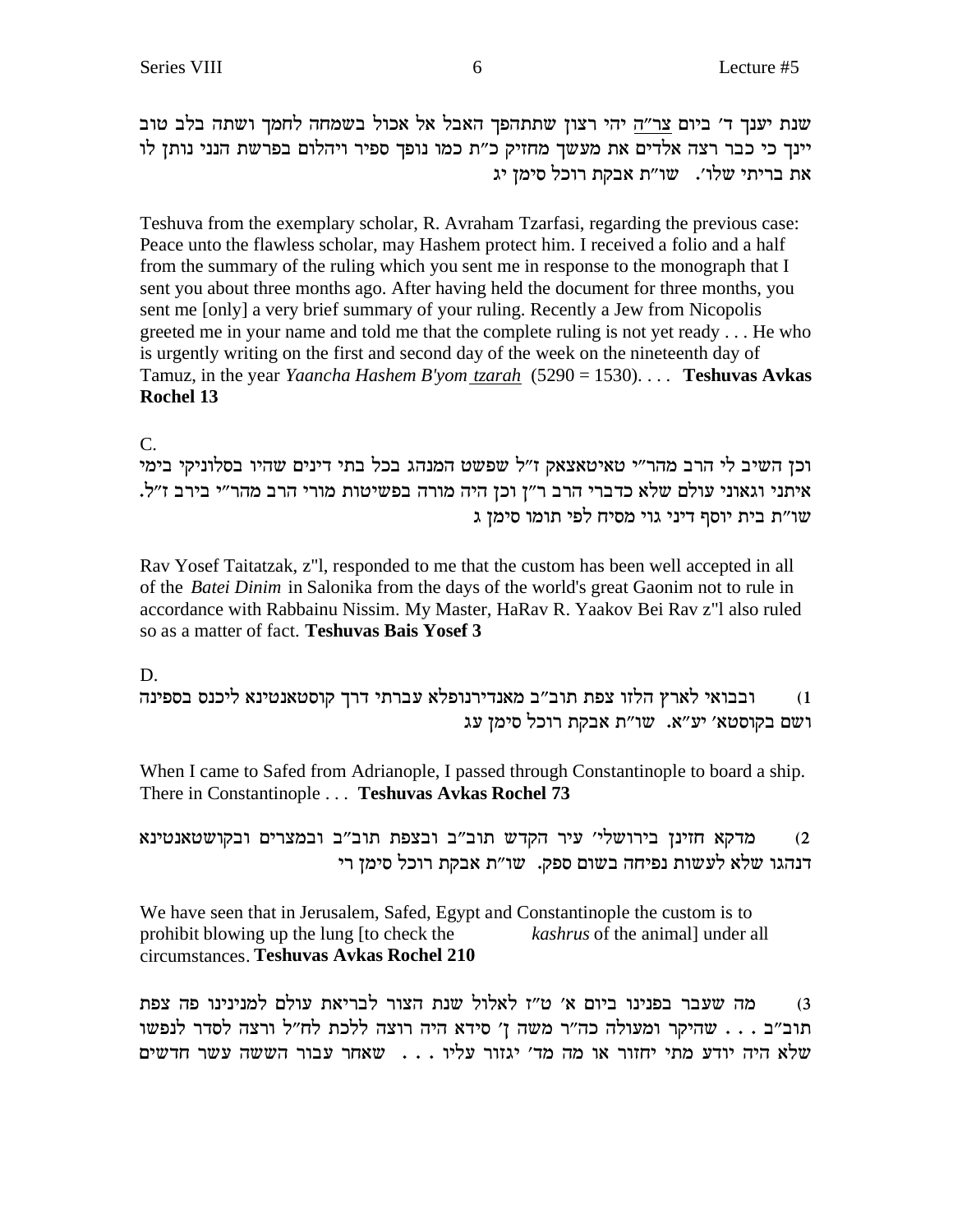שנת יענך ד׳ ביום צר״ה יהי רצון שתתהפך האבל אל אכול בשמחה לחמך ושתה בלב טוב יינך כי כבר רצה אלדים את מעשך מחזיק כ"ת כמו נופך ספיר ויהלום בפרשת הנני נותן לו את בריתי שלו'. שו"ת אבקת רוכל סימן יג

Teshuva from the exemplary scholar, R. Avraham Tzarfasi, regarding the previous case: Peace unto the flawless scholar, may Hashem protect him. I received a folio and a half from the summary of the ruling which you sent me in response to the monograph that I sent you about three months ago. After having held the document for three months, you sent me [only] a very brief summary of your ruling. Recently a Jew from Nicopolis greeted me in your name and told me that the complete ruling is not yet ready . . . He who is urgently writing on the first and second day of the week on the nineteenth day of Tamuz, in the year *Yaancha Hashem B'yom tzarah* (5290 = 1530). . . . **Teshuvas Avkas Rochel 13**

 $\mathcal{C}$ .

וכן השיב לי הרב מהר"י טאיטאצאק ז"ל שפשט המנהג בכל בתי דינים שהיו בסלוניקי בימי .איתני וגאוני עולם שלא כדברי הרב ר"ן וכן היה מורה בפשיטות מורי הרב מהר"י בירב ז"ל שו״ת בית יוסף דיני גוי מסיח לפי תומו סימן ג

Rav Yosef Taitatzak, z"l, responded to me that the custom has been well accepted in all of the *Batei Dinim* in Salonika from the days of the world's great Gaonim not to rule in accordance with Rabbainu Nissim. My Master, HaRav R. Yaakov Bei Rav z"l also ruled so as a matter of fact. **Teshuvas Bais Yosef 3**

D.

ובבואי לארץ הלזו צפת תוב"ב מאנדירנופלא עברתי דרך קוסטאנטינא ליכנס בספינה (1 ושם בקוסטא' יע"א. שו"ת אבקת רוכל סימן עג

When I came to Safed from Adrianople, I passed through Constantinople to board a ship. There in Constantinople . . . **Teshuvas Avkas Rochel 73**

מ'פא מדקא הזינן בירושלי׳ עיר הקדש תוב״ב ובצפת תוב״ב ובמצרים ובקושטאנטינא (2 דנהגו שלא לעשות נפיחה בשום ספק. שו"ת אבקת רוכל סימן רי

We have seen that in Jerusalem, Safed, Egypt and Constantinople the custom is to prohibit blowing up the lung [to check the *kashrus* of the animal] under all circumstances. **Teshuvas Avkas Rochel 210**

ztv dt epipipnl mler z`ixal xevd zpy lel`l f"h '` meia epipta xary dn (3 תוב״ב . . . שהיקר ומעולה כה״ר משה ן׳ סידא היה רוצה ללכת לח״ל ורצה לסדר לנפשו שלא היה יודע מתי יחזור או מה מד׳ יגזור עליו . . . שאחר עבור הששה עשר חדשים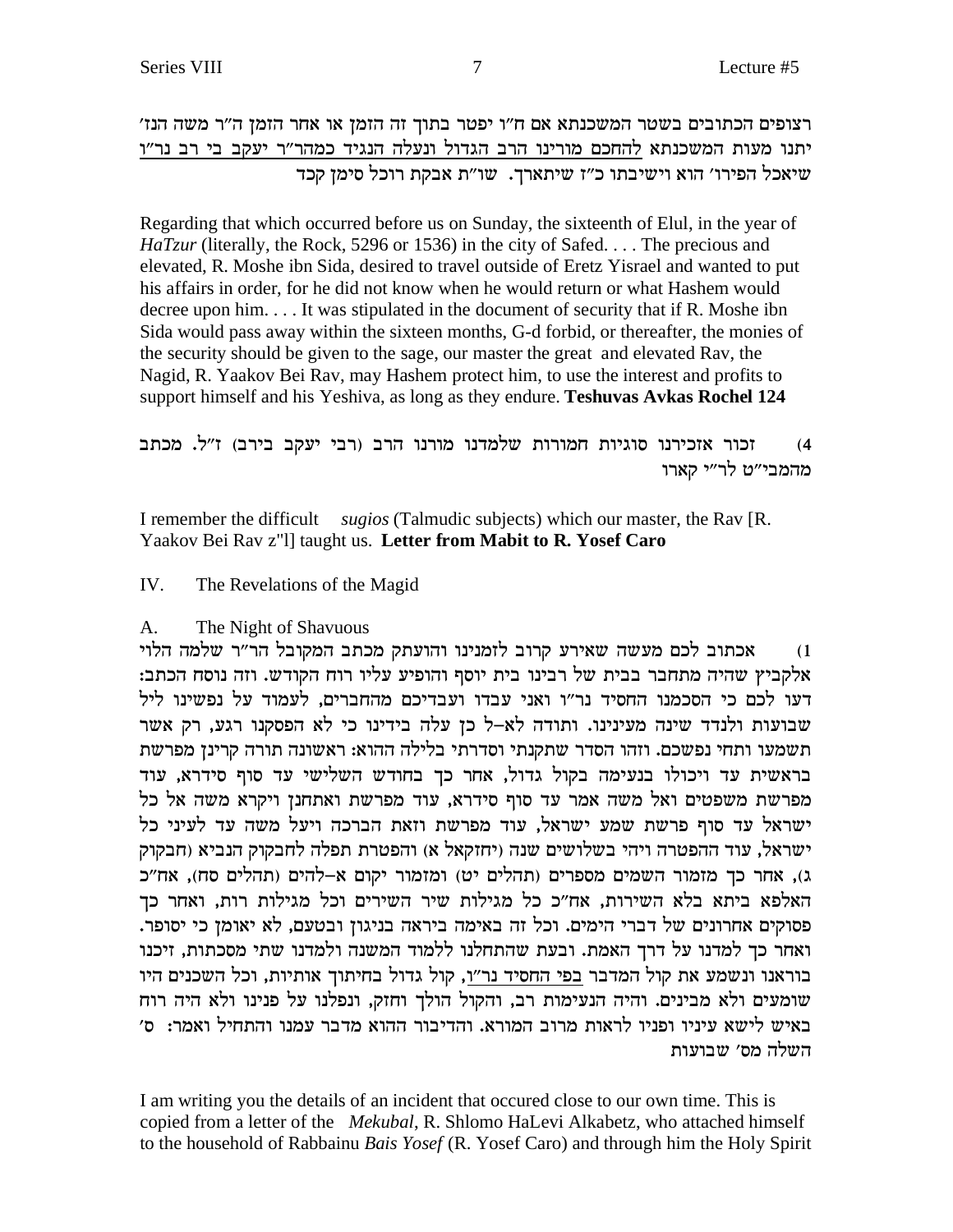רצופים הכתובים בשטר המשכנתא אם ח״ו יפטר בתוך זה הזמן או אחר הזמן ה״ר משה הנז׳ יתנו מעות המשכנתא להחכם מורינו הרב הגדול ונעלה הנגיד כמהר״ר יעקב בי רב נר״ו שיאכל הפירו' הוא וישיבתו כ"ז שיתארך. שו"ת אבקת רוכל סימן קכד

Regarding that which occurred before us on Sunday, the sixteenth of Elul, in the year of  $HaTzur$  (literally, the Rock, 5296 or 1536) in the city of Safed.... The precious and elevated, R. Moshe ibn Sida, desired to travel outside of Eretz Yisrael and wanted to put his affairs in order, for he did not know when he would return or what Hashem would decree upon him.... It was stipulated in the document of security that if R. Moshe ibn Sida would pass away within the sixteen months, G-d forbid, or thereafter, the monies of the security should be given to the sage, our master the great and elevated Rav, the Nagid, R. Yaakov Bei Rav, may Hashem protect him, to use the interest and profits to support himself and his Yeshiva, as long as they endure. Teshuvas Avkas Rochel 124

זכור אזכירנו סוגיות חמורות שלמדנו מורנו הרב (רבי יעקב בירב) ז"ל. מכתב  $(4)$ מהמבי״ט לר״י קארו

I remember the difficult sugios (Talmudic subjects) which our master, the Rav [R. Yaakov Bei Rav z"l] taught us. Letter from Mabit to R. Yosef Caro

IV. The Revelations of the Magid

### The Night of Shavuous  $\mathbf{A}$

אכתוב לכם מעשה שאירע קרוב לזמנינו והועתק מכתב המקובל הר"ר שלמה הלוי  $(1)$ אלקביץ שהיה מתחבר בבית של רבינו בית יוסף והופיע עליו רוח הקודש. וזה נוסח הכתב: דעו לכם כי הסכמנו החסיד נר"ו ואני עבדו ועבדיכם מהחברים, לעמוד על נפשינו ליל שבועות ולנדד שינה מעינינו. ותודה לא–ל כן עלה בידינו כי לא הפסקנו רגע, רק אשר תשמעו ותחי נפשכם. וזהו הסדר שתקנתי וסדרתי בלילה ההוא: ראשונה תורה קרינן מפרשת בראשית עד ויכולו בנעימה בקול גדול, אחר כך בחודש השלישי עד סוף סידרא, עוד מפרשת משפטים ואל משה אמר עד סוף סידרא, עוד מפרשת ואתחנן ויקרא משה אל כל ישראל עד סוף פרשת שמע ישראל, עוד מפרשת וזאת הברכה ויעל משה עד לעיני כל ישראל, עוד ההפטרה ויהי בשלושים שנה (יחזקאל א) והפטרת תפלה לחבקוק הנביא (חבקוק ג), אחר כך מזמור השמים מספרים (תהלים יט) ומזמור יקום א-להים (תהלים סח), אח"כ האלפא ביתא בלא השירות, אח״כ כל מגילות שיר השירים וכל מגילות רות, ואחר כך פסוקים אחרונים של דברי הימים. וכל זה באימה ביראה בניגון ובטעם, לא יאומן כי יסופר. ואחר כך למדנו על דרך האמת. ובעת שהתחלנו ללמוד המשנה ולמדנו שתי מסכתות, זיכנו בוראנו ונשמע את קול המדבר בפי החסיד נר"ו, קול גדול בחיתוך אותיות, וכל השכנים היו שומעים ולא מבינים. והיה הנעימות רב, והקול הולך וחזק, ונפלנו על פנינו ולא היה רוח באיש לישא עיניו ופניו לראות מרוב המורא. והדיבור ההוא מדבר עמנו והתחיל ואמר: ס' השלה מס׳ שבועות

I am writing you the details of an incident that occurred close to our own time. This is copied from a letter of the *Mekubal*, R. Shlomo HaLevi Alkabetz, who attached himself to the household of Rabbainu Bais Yosef (R. Yosef Caro) and through him the Holy Spirit

7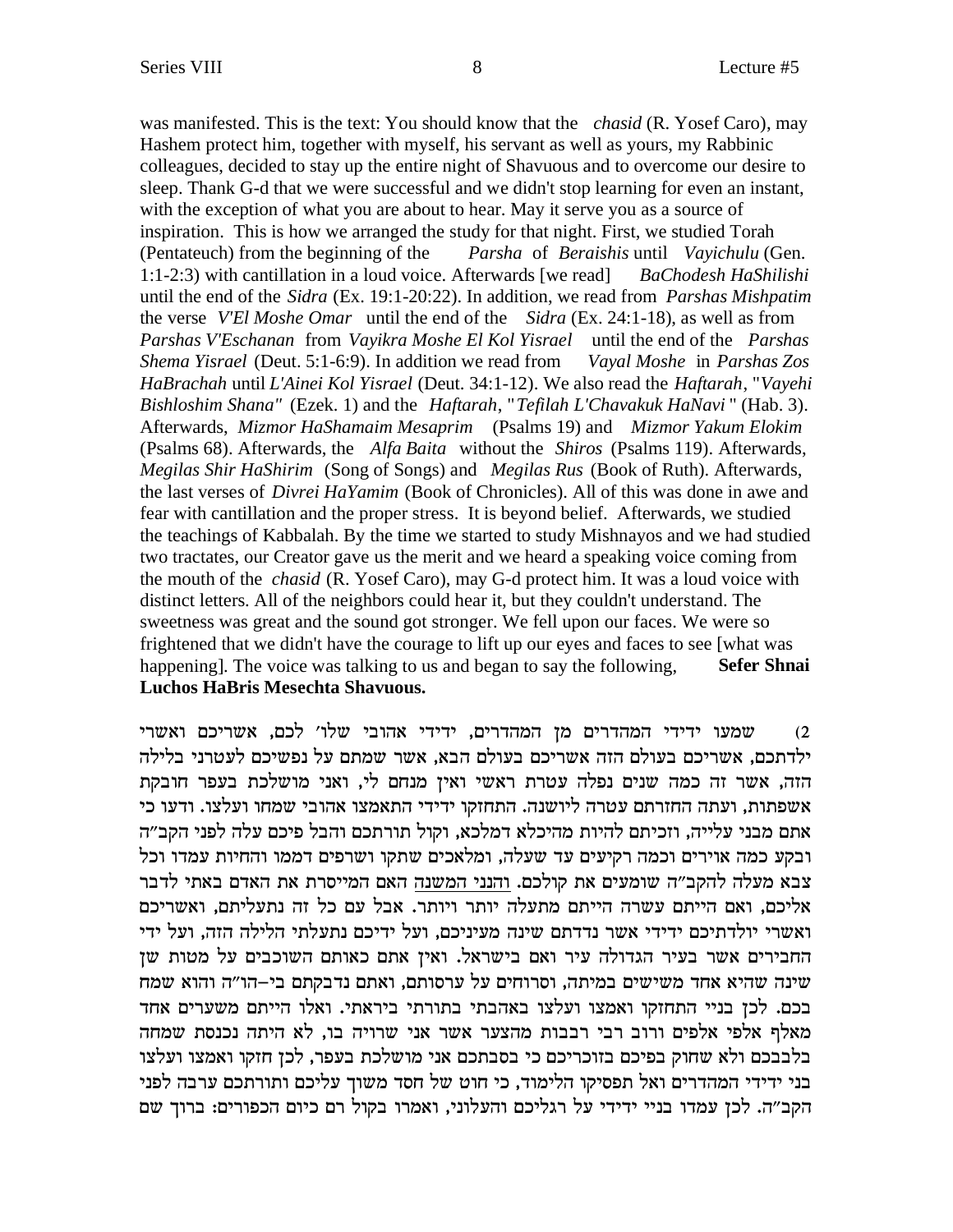was manifested. This is the text: You should know that the *chasid* (R. Yosef Caro), may Hashem protect him, together with myself, his servant as well as yours, my Rabbinic colleagues, decided to stay up the entire night of Shavuous and to overcome our desire to sleep. Thank G-d that we were successful and we didn't stop learning for even an instant, with the exception of what you are about to hear. May it serve you as a source of inspiration. This is how we arranged the study for that night. First, we studied Torah (Pentateuch) from the beginning of the *Parsha* of *Beraishis* until *Vayichulu* (Gen. 1:1-2:3) with cantillation in a loud voice. Afterwards [we read] *BaChodesh HaShilishi* until the end of the *Sidra* (Ex. 19:1-20:22). In addition, we read from *Parshas Mishpatim* the verse *V'El Moshe Omar* until the end of the *Sidra* (Ex. 24:1-18), as well as from *Parshas V'Eschanan* from *Vayikra Moshe El Kol Yisrael* until the end of the *Parshas Shema Yisrael* (Deut. 5:1-6:9). In addition we read from *Vayal Moshe* in *Parshas Zos HaBrachah* until *L'Ainei Kol Yisrael* (Deut. 34:1-12). We also read the *Haftarah*, "*Vayehi Bishloshim Shana"* (Ezek. 1) and the *Haftarah*, "*Tefilah L'Chavakuk HaNavi* " (Hab. 3). Afterwards, *Mizmor HaShamaim Mesaprim* (Psalms 19) and *Mizmor Yakum Elokim* (Psalms 68). Afterwards, the *Alfa Baita* without the *Shiros* (Psalms 119). Afterwards, *Megilas Shir HaShirim* (Song of Songs) and *Megilas Rus* (Book of Ruth). Afterwards, the last verses of *Divrei HaYamim* (Book of Chronicles). All of this was done in awe and fear with cantillation and the proper stress. It is beyond belief. Afterwards, we studied the teachings of Kabbalah. By the time we started to study Mishnayos and we had studied two tractates, our Creator gave us the merit and we heard a speaking voice coming from the mouth of the *chasid* (R. Yosef Caro), may G-d protect him. It was a loud voice with distinct letters. All of the neighbors could hear it, but they couldn't understand. The sweetness was great and the sound got stronger. We fell upon our faces. We were so frightened that we didn't have the courage to lift up our eyes and faces to see [what was happening]. The voice was talking to us and began to say the following, Sefer Shnai **Luchos HaBris Mesechta Shavuous.**

שמעו ידידי המהדרים מן המהדרים, ידידי אהובי שלו׳ לכם, אשריכם ואשרי (2 ילדתכם, אשריכם בעולם הזה אשריכם בעולם הבא, אשר שמתם על נפשיכם לעטרני בלילה הזה, אשר זה כמה שנים נפלה עטרת ראשי ואין מנחם לי, ואני מושלכת בעפר חובקת אשפתות, ועתה החזרתם עטרה ליושנה. התחזקו ידידי התאמצו אהובי שמחו ועלצו. ודעו כי אתם מבני עלייה, וזכיתם להיות מהיכלא דמלכא, וקול תורתכם והבל פיכם עלה לפני הקב״ה ובקע כמה אוירים וכמה רקיעים עד שעלה, ומלאכים שתקו ושרפים דממו והחיות עמדו וכל צבא מעלה להקב״ה שומעים את קולכם. והנני המשנה האם המייסרת את האדם באתי לדבר אליכם, ואם הייתם עשרה הייתם מתעלה יותר ויותר. אבל עם כל זה נתעליתם, ואשריכם ואשרי יולדתיכם ידידי אשר נדדתם שינה מעיניכם, ועל ידיכם נתעלתי הלילה הזה, ועל ידי החבירים אשר בעיר הגדולה עיר ואם בישראל. ואין אתם כאותם השוכבים על מטות שן שינה שהיא אחד משישים במיתה, וסרוחים על ערסותם, ואתם נדבקתם בי–הו"ה והוא שמח בכם. לכן בניי התחזקו ואמצו ועלצו באהבתי בתורתי ביראתי. ואלו הייתם משערים אחד מאלף אלפי אלפים ורוב רבי רבבות מהצער אשר אני שרויה בו, לא היתה נכנסת שמחה בלבבכם ולא שחוק בפיכם בזוכריכם כי בסבתכם אני מושלכת בעפר, לכן חזקו ואמצו ועלצו בני ידידי המהדרים ואל תפסיקו הלימוד, כי חוט של חסד משוך עליכם ותורתכם ערבה לפני הקב״ה. לכן עמדו בניי ידידי על רגליכם והעלוני, ואמרו בקול רם כיום הכפורים: ברוך שם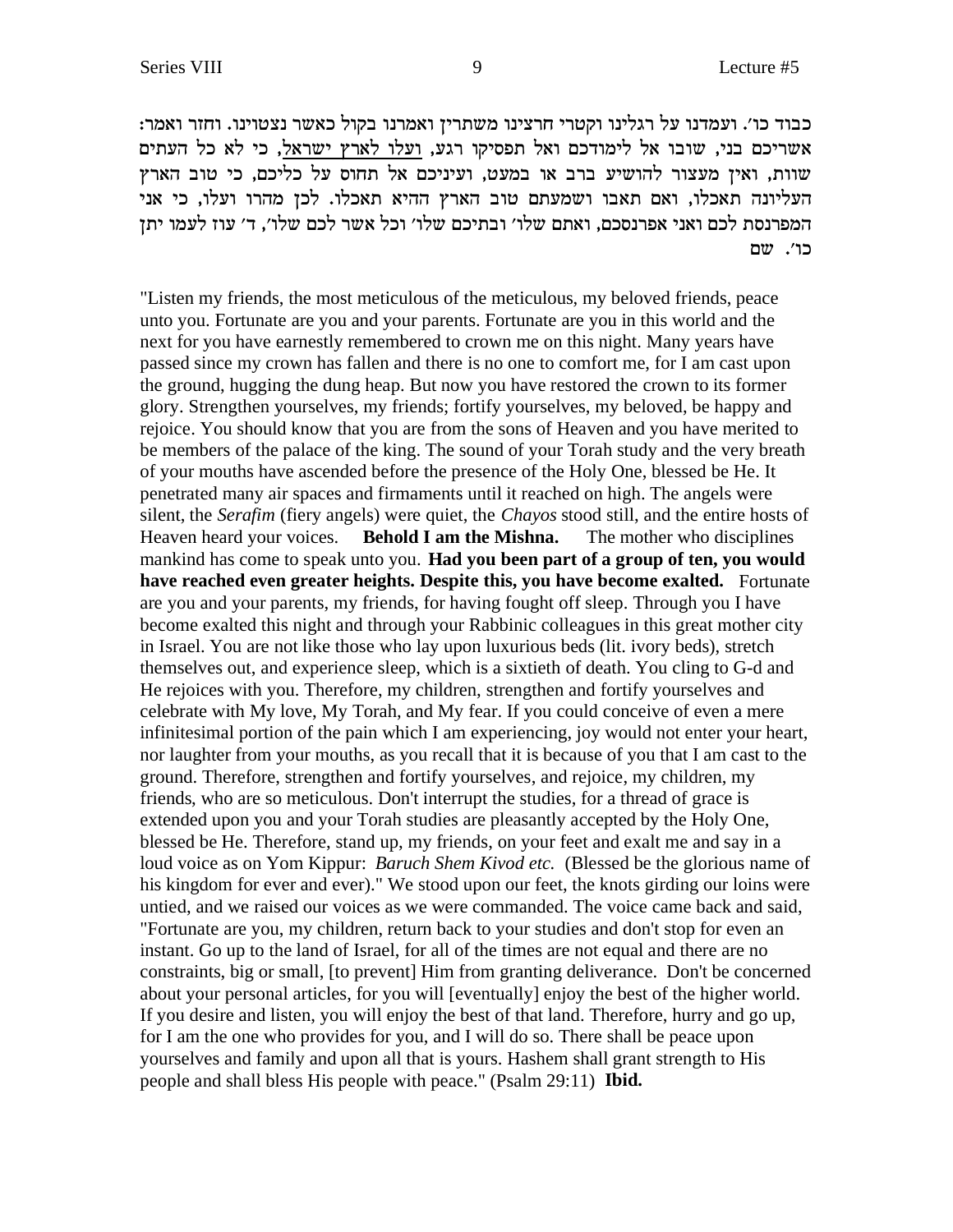: כבוד כו׳. ועמדנו על רגלינו וקטרי חרצינו משתרין ואמרנו בקול כאשר נצטוינו. וחזר ואמר אשריכם בני, שובו אל לימודכם ואל תפסיקו רגע, ועלו לארץ ישראל, כי לא כל העתים שוות, ואין מעצור להושיע ברב או במעט, ועיניכם אל תחוס על כליכם, כי טוב הארץ העליונה תאכלו, ואם תאבו ושמעתם טוב הארץ ההיא תאכלו. לכן מהרו ועלו, כי אני המפרנסת לכם ואני אפרנסכם, ואתם שלו׳ ובתיכם שלו׳ וכל אשר לכם שלו׳, ד׳ עוז לעמו יתן כו'. שם

"Listen my friends, the most meticulous of the meticulous, my beloved friends, peace unto you. Fortunate are you and your parents. Fortunate are you in this world and the next for you have earnestly remembered to crown me on this night. Many years have passed since my crown has fallen and there is no one to comfort me, for I am cast upon the ground, hugging the dung heap. But now you have restored the crown to its former glory. Strengthen yourselves, my friends; fortify yourselves, my beloved, be happy and rejoice. You should know that you are from the sons of Heaven and you have merited to be members of the palace of the king. The sound of your Torah study and the very breath of your mouths have ascended before the presence of the Holy One, blessed be He. It penetrated many air spaces and firmaments until it reached on high. The angels were silent, the *Serafim* (fiery angels) were quiet, the *Chayos* stood still, and the entire hosts of Heaven heard your voices. **Behold I am the Mishna.** The mother who disciplines mankind has come to speak unto you. **Had you been part of a group of ten, you would have reached even greater heights. Despite this, you have become exalted.** Fortunate are you and your parents, my friends, for having fought off sleep. Through you I have become exalted this night and through your Rabbinic colleagues in this great mother city in Israel. You are not like those who lay upon luxurious beds (lit. ivory beds), stretch themselves out, and experience sleep, which is a sixtieth of death. You cling to G-d and He rejoices with you. Therefore, my children, strengthen and fortify yourselves and celebrate with My love, My Torah, and My fear. If you could conceive of even a mere infinitesimal portion of the pain which I am experiencing, joy would not enter your heart, nor laughter from your mouths, as you recall that it is because of you that I am cast to the ground. Therefore, strengthen and fortify yourselves, and rejoice, my children, my friends, who are so meticulous. Don't interrupt the studies, for a thread of grace is extended upon you and your Torah studies are pleasantly accepted by the Holy One, blessed be He. Therefore, stand up, my friends, on your feet and exalt me and say in a loud voice as on Yom Kippur: *Baruch Shem Kivod etc.* (Blessed be the glorious name of his kingdom for ever and ever)." We stood upon our feet, the knots girding our loins were untied, and we raised our voices as we were commanded. The voice came back and said, "Fortunate are you, my children, return back to your studies and don't stop for even an instant. Go up to the land of Israel, for all of the times are not equal and there are no constraints, big or small, [to prevent] Him from granting deliverance. Don't be concerned about your personal articles, for you will [eventually] enjoy the best of the higher world. If you desire and listen, you will enjoy the best of that land. Therefore, hurry and go up, for I am the one who provides for you, and I will do so. There shall be peace upon yourselves and family and upon all that is yours. Hashem shall grant strength to His people and shall bless His people with peace." (Psalm 29:11) **Ibid.**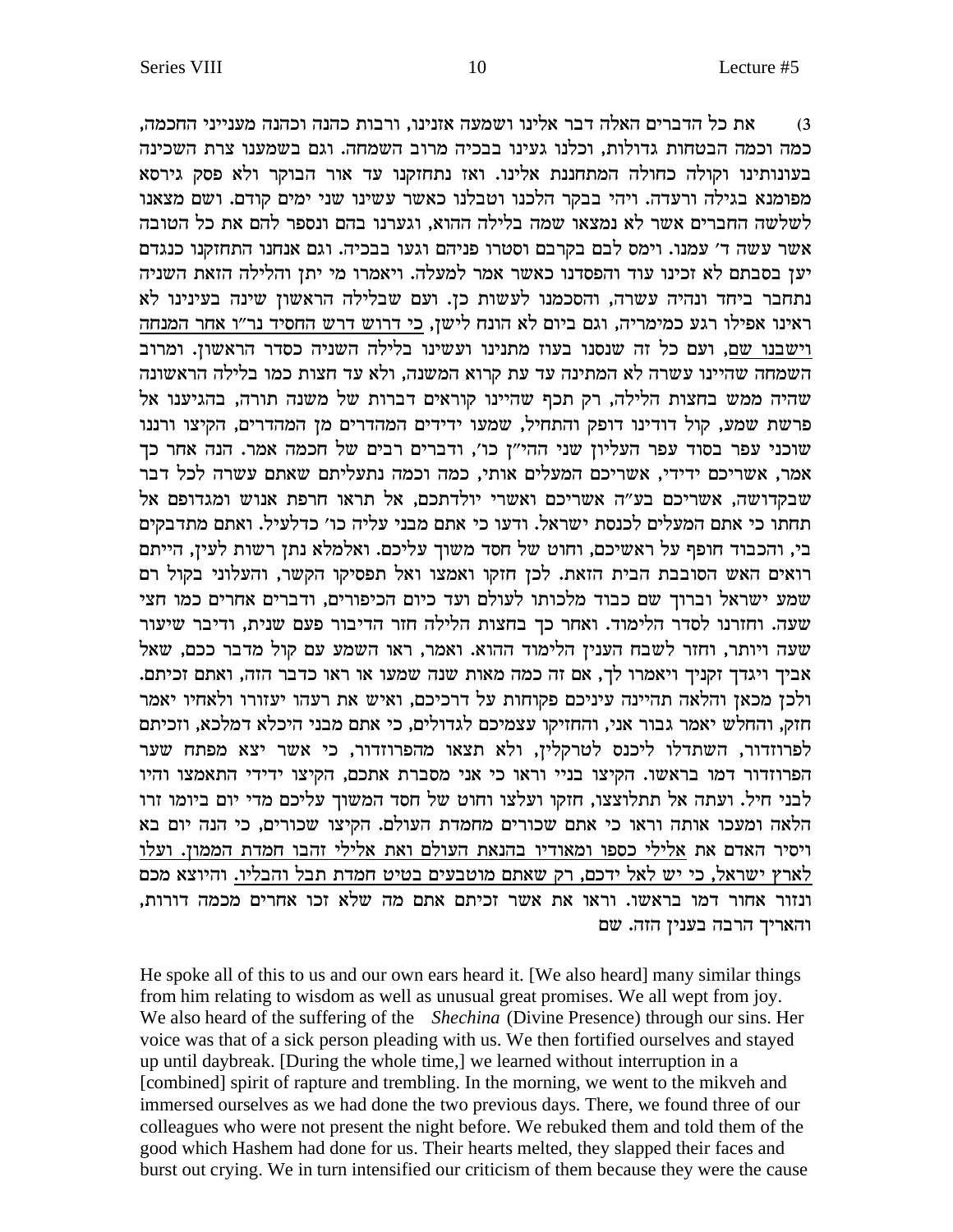את כל הדברים האלה דבר אלינו ושמעה אזנינו, ורבות כהנה וכהנה מענייני החכמה,  $(3)$ כמה וכמה הבטחות גדולות, וכלנו געינו בבכיה מרוב השמחה. וגם בשמענו צרת השכינה בעונותינו וקולה כחולה המתחננת אלינו. ואז נתחזקנו עד אור הבוקר ולא פסק גירסא מפומנא בגילה ורעדה. ויהי בבקר הלכנו וטבלנו כאשר עשינו שני ימים קודם. ושם מצאנו לשלשה החברים אשר לא נמצאו שמה בלילה ההוא, וגערנו בהם ונספר להם את כל הטובה אשר עשה ד' עמנו. וימס לבם בקרבם וסטרו פניהם וגעו בבכיה. וגם אנחנו התחזקנו כנגדם יען בסבתם לא זכינו עוד והפסדנו כאשר אמר למעלה. ויאמרו מי יתן והלילה הזאת השניה נתחבר ביחד ונהיה עשרה, והסכמנו לעשות כן. ועם שבלילה הראשון שינה בעינינו לא ראינו אפילו רגע כמימריה, וגם ביום לא הונח לישן, כי דרוש דרש החסיד נר"ו אחר המנחה וישבנו שם, ועם כל זה שנסנו בעוז מתנינו ועשינו בלילה השניה כסדר הראשון. ומרוב השמחה שהיינו עשרה לא המתינה עד עת קרוא המשנה, ולא עד חצות כמו בלילה הראשונה שהיה ממש בחצות הלילה, רק תכף שהיינו קוראים דברות של משנה תורה, בהגיענו אל פרשת שמע, קול דודינו דופק והתחיל, שמעו ידידים המהדרים מן המהדרים, הקיצו ורננו שוכני עפר בסוד עפר העליון שני ההי"ן כו', ודברים רבים של חכמה אמר. הנה אחר כך אמר, אשריכם ידידי, אשריכם המעלים אותי, כמה וכמה נתעליתם שאתם עשרה לכל דבר שבקדושה, אשריכם בע"ה אשריכם ואשרי יולדתכם, אל תראו חרפת אנוש ומגדופם אל תחתו כי אתם המעלים לכנסת ישראל. ודעו כי אתם מבני עליה כו׳ כדלעיל. ואתם מתדבקים בי, והכבוד חופף על ראשיכם, וחוט של חסד משוך עליכם. ואלמלא נתן רשות לעין, הייתם רואים האש הסובבת הבית הזאת. לכן חזקו ואמצו ואל תפסיקו הקשר, והעלוני בקול רם שמע ישראל וברוך שם כבוד מלכותו לעולם ועד כיום הכיפורים, ודברים אחרים כמו חצי שעה. וחזרנו לסדר הלימוד. ואחר כך בחצות הלילה חזר הדיבור פעם שנית, ודיבר שיעור שעה ויותר, וחזר לשבח הענין הלימוד ההוא. ואמר, ראו השמע עם קול מדבר ככם, שאל אביך ויגדך זקניך ויאמרו לך, אם זה כמה מאות שנה שמעו או ראו כדבר הזה, ואתם זכיתם. ולכן מכאן והלאה תהיינה עיניכם פקוחות על דרכיכם, ואיש את רעהו יעזורו ולאחיו יאמר חזק, והחלש יאמר גבור אני, והחזיקו עצמיכם לגדולים, כי אתם מבני היכלא דמלכא, וזכיתם לפרוזדור, השתדלו ליכנס לטרקלין, ולא תצאו מהפרוזדור, כי אשר יצא מפתח שער .<br>הפרוזדור דמו בראשו. הקיצו בניי וראו כי אני מסברת אתכם, הקיצו ידידי התאמצו והיו לבני חיל. ועתה אל תתלוצצו, חזקו ועלצו וחוט של חסד המשוך עליכם מדי יום ביומו זרו הלאה ומעכו אותה וראו כי אתם שכורים מחמדת העולם. הקיצו שכורים, כי הנה יום בא ויסיר האדם את אלילי כספו ומאודיו בהנאת העולם ואת אלילי זהבו חמדת הממון. ועלו לארץ ישראל, כי יש לאל ידכם, רק שאתם מוטבעים בטיט חמדת תבל והבליו. והיוצא מכם ונזור אחור דמו בראשו. וראו את אשר זכיתם אתם מה שלא זכו אחרים מכמה דורות, והאריך הרבה בענין הזה. שם

He spoke all of this to us and our own ears heard it. [We also heard] many similar things from him relating to wisdom as well as unusual great promises. We all wept from joy. We also heard of the suffering of the *Shechina* (Divine Presence) through our sins. Her voice was that of a sick person pleading with us. We then fortified ourselves and stayed up until daybreak. [During the whole time,] we learned without interruption in a [combined] spirit of rapture and trembling. In the morning, we went to the mikveh and immersed ourselves as we had done the two previous days. There, we found three of our colleagues who were not present the night before. We rebuked them and told them of the good which Hashem had done for us. Their hearts melted, they slapped their faces and burst out crying. We in turn intensified our criticism of them because they were the cause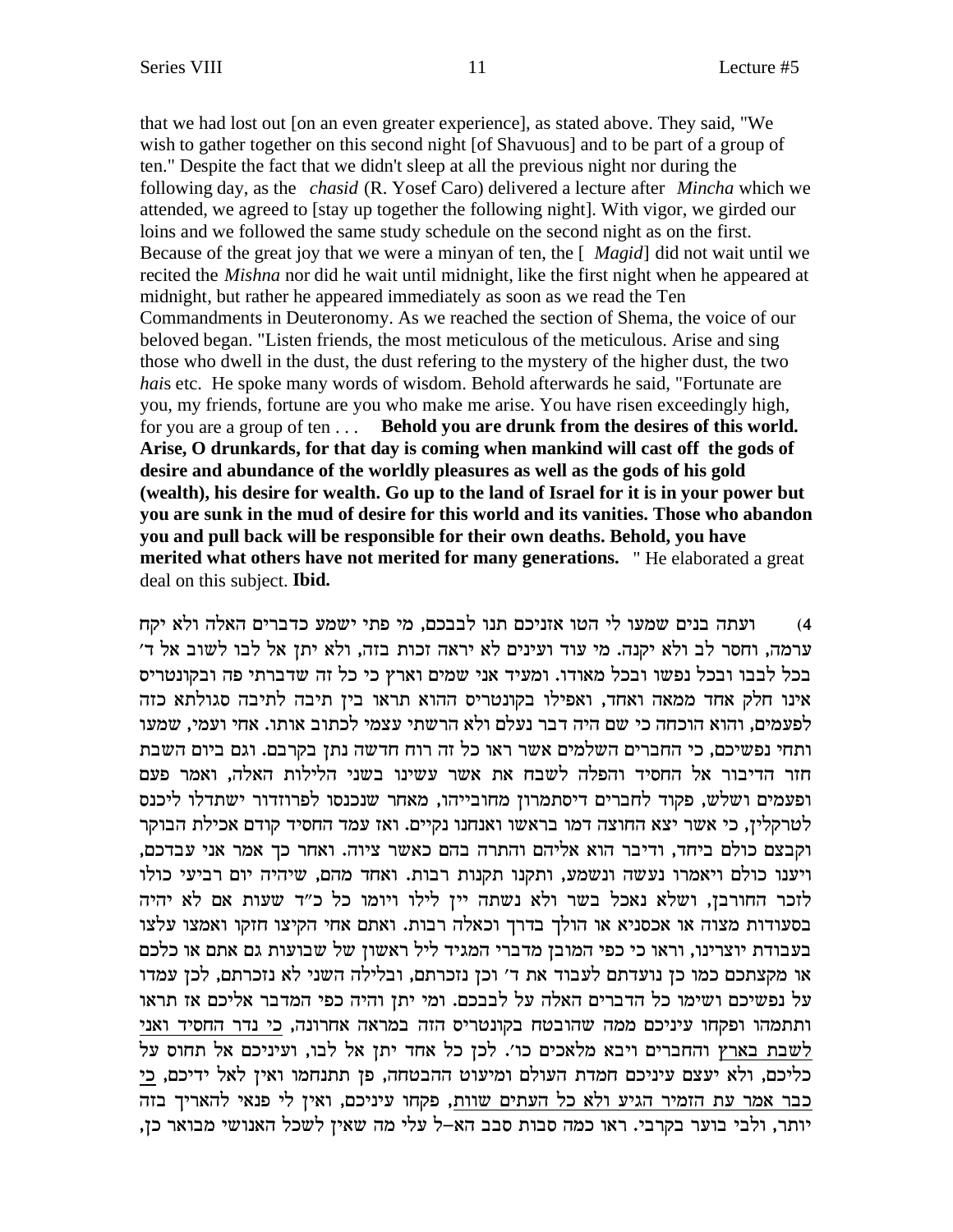that we had lost out [on an even greater experience], as stated above. They said, "We wish to gather together on this second night [of Shavuous] and to be part of a group of ten." Despite the fact that we didn't sleep at all the previous night nor during the following day, as the *chasid* (R. Yosef Caro) delivered a lecture after *Mincha* which we attended, we agreed to [stay up together the following night]. With vigor, we girded our loins and we followed the same study schedule on the second night as on the first. Because of the great joy that we were a minyan of ten, the [ *Magid*] did not wait until we recited the *Mishna* nor did he wait until midnight, like the first night when he appeared at midnight, but rather he appeared immediately as soon as we read the Ten Commandments in Deuteronomy. As we reached the section of Shema, the voice of our beloved began. "Listen friends, the most meticulous of the meticulous. Arise and sing those who dwell in the dust, the dust refering to the mystery of the higher dust, the two *hai*s etc. He spoke many words of wisdom. Behold afterwards he said, "Fortunate are you, my friends, fortune are you who make me arise. You have risen exceedingly high, for you are a group of ten . . . **Behold you are drunk from the desires of this world. Arise, O drunkards, for that day is coming when mankind will cast off the gods of desire and abundance of the worldly pleasures as well as the gods of his gold (wealth), his desire for wealth. Go up to the land of Israel for it is in your power but you are sunk in the mud of desire for this world and its vanities. Those who abandon you and pull back will be responsible for their own deaths. Behold, you have merited what others have not merited for many generations.** " He elaborated a great deal on this subject. **Ibid.**

4) אועתה בנים שמעו לי הטו אזניכם תנו לבבכם, מי פתי ישמע כדברים האלה ולא יקח ' ערמה, וחסר לב ולא יקנה. מי עוד ועינים לא יראה זכות בזה, ולא יתן אל לבו לשוב אל ד בכל לבבו ובכל נפשו ובכל מאודו. ומעיד אני שמים וארץ כי כל זה שדברתי פה ובקונטריס אינו חלק אחד ממאה ואחד, ואפילו בקונטריס ההוא תראו בין תיבה לתיבה סגולתא כזה לפעמים, והוא הוכחה כי שם היה דבר נעלם ולא הרשתי עצמי לכתוב אותו. אחי ועמי, שמעו ותחי נפשיכם, כי החברים השלמים אשר ראו כל זה רוח חדשה נתן בקרבם. וגם ביום השבת חזר הדיבור אל החסיד והפלה לשבח את אשר עשינו בשני הלילות האלה, ואמר פעם ופעמים ושלש, פקוד לחברים דיסתמרון מחובייהו, מאחר שנכנסו לפרוזדור ישתדלו ליכנס לטרקלין, כי אשר יצא החוצה דמו בראשו ואנחנו נקיים. ואז עמד החסיד קודם אכילת הבוקר ,<br>וקבצם כולם ביחד, ודיבר הוא אליהם והתרה בהם כאשר ציוה. ואחר כך אמר אני עבדכם ויענו כולם ויאמרו נעשה ונשמע, ותקנו תקנות רבות. ואחד מהם, שיהיה יום רביעי כולו לזכר החורבן, ושלא נאכל בשר ולא נשתה יין לילו ויומו כל כ"ד שעות אם לא יהיה בסעודות מצוה או אכסניא או הולך בדרך וכאלה רבות. ואתם אחי הקיצו חזקו ואמצו עלצו בעבודת יוצרינו, וראו כי כפי המובן מדברי המגיד ליל ראשון של שבועות גם אתם או כלכם או מקצתכם כמו כן נועדתם לעבוד את ד׳ וכן נזכרתם, ובלילה השני לא נזכרתם, לכן עמדו על נפשיכם ושימו כל הדברים האלה על לבבכם. ומי יתן והיה כפי המדבר אליכם אז תראו ותתמהו ופקחו עיניכם ממה שהובטח בקונטריס הזה במראה אחרונה, כי נדר החסיד ואני לשבת בארץ והחברים ויבא מלאכים כו׳. לכן כל אחד יתן אל לבו, ועיניכם אל תחוס על כליכם, ולא יעצם עיניכם חמדת העולם ומיעוט ההבטחה, פן תתנחמו ואין לאל ידיכם, כי כבר אמר עת הזמיר הגיע ולא כל העתים שוות, פקחו עיניכם, ואין לי פנאי להאריך בזה יותר, ולבי בוער בקרבי. ראו כמה סבות סבב הא–ל עלי מה שאין לשכל האנושי מבואר כן,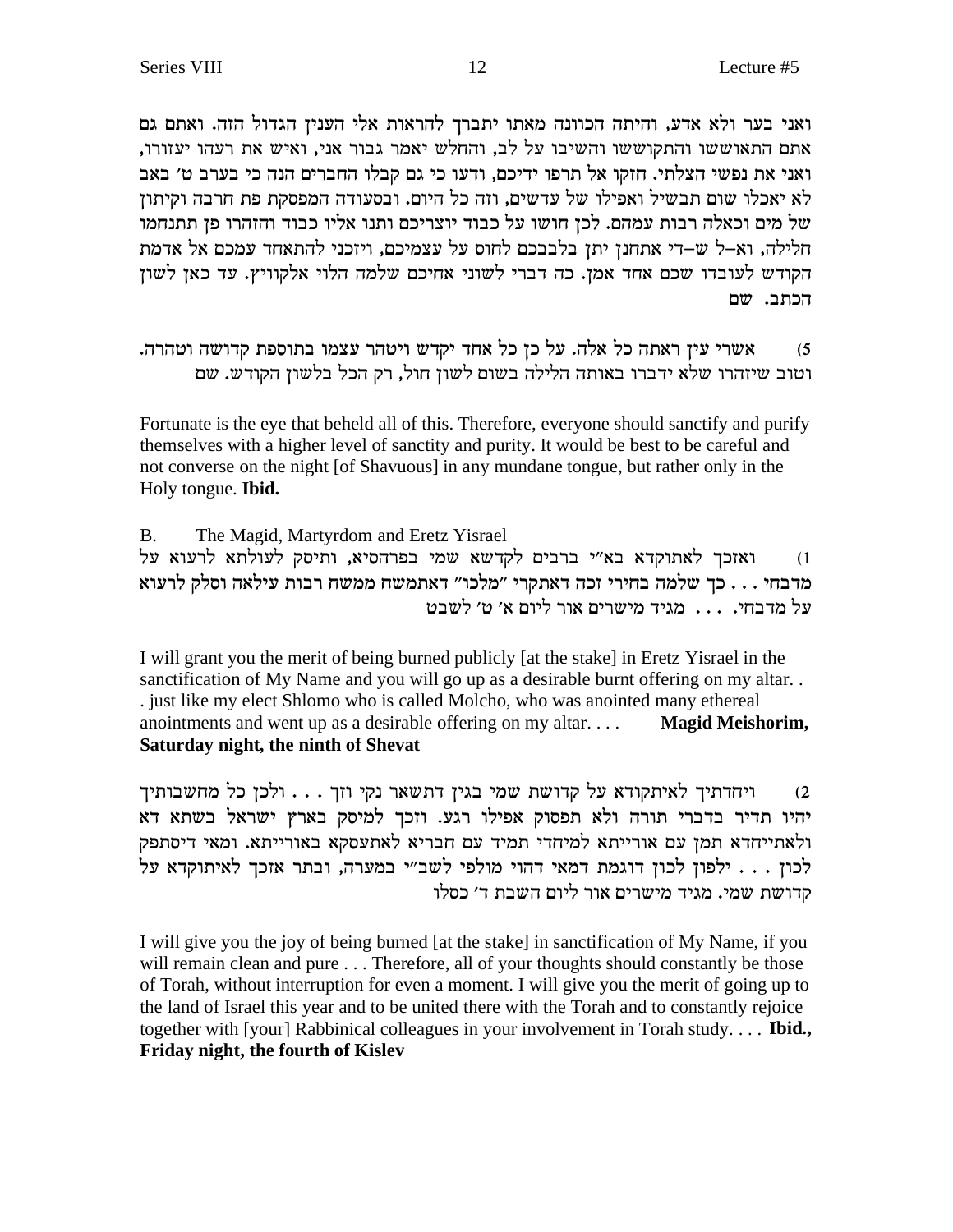ואני בער ולא אדע, והיתה הכוונה מאתו יתברך להראות אלי הענין הגדול הזה. ואתם גם אתם התאוששו והתקוששו והשיבו על לב, והחלש יאמר גבור אני, ואיש את רעהו יעזורו, ואני את נפשי הצלתי. חזקו אל תרפו ידיכם, ודעו כי גם קבלו החברים הנה כי בערב ט׳ באב לא יאכלו שום תבשיל ואפילו של עדשים, וזה כל היום. ובסעודה המפסקת פת חרבה וקיתון של מים וכאלה רבות עמהם. לכן חושו על כבוד יוצריכם ותנו אליו כבוד והזהרו פן תתנחמו חלילה, וא–ל ש–די אתחנן יתן בלבבכם לחוס על עצמיכם, ויזכני להתאחד עמכם אל אדמת הקודש לעובדו שכם אחד אמן. כה דברי לשוני אחיכם שלמה הלוי אלקוויץ. עד כאן לשון הכתב. שם

אשרי עין ראתה כל אלה. על כן כל אחד יקדש ויטהר עצמו בתוספת קדושה וטהרה.  $(5)$ וטוב שיזהרו שלא ידברו באותה הלילה בשום לשון חול, רק הכל בלשון הקודש. שם

Fortunate is the eye that beheld all of this. Therefore, everyone should sanctify and purify themselves with a higher level of sanctity and purity. It would be best to be careful and not converse on the night [of Shavuous] in any mundane tongue, but rather only in the Holy tongue. Ibid.

 $B<sub>1</sub>$ The Magid, Martyrdom and Eretz Yisrael ואזכך לאתוקדא בא"י ברבים לקדשא שמי בפרהסיא, ותיסק לעולתא לרעוא על  $(1)$ מדבחי . . . כך שלמה בחירי זכה דאתקרי "מלכו" דאתמשח ממשח רבות עילאה וסלק לרעוא על מדבחי. . . . מגיד מישרים אור ליום א׳ ט׳ לשבט

I will grant you the merit of being burned publicly [at the stake] in Eretz Yisrael in the sanctification of My Name and you will go up as a desirable burnt offering on my altar... . just like my elect Shlomo who is called Molcho, who was anointed many ethereal anointments and went up as a desirable offering on my altar... **Magid Meishorim,** Saturday night, the ninth of Shevat

ויחדתיך לאיתקודא על קדושת שמי בגין דתשאר נקי וזך . . . ולכן כל מחשבותיך  $(2)$ יהיו תדיר בדברי תורה ולא תפסוק אפילו רגע. וזכך למיסק בארץ ישראל בשתא דא ולאתייחדא תמן עם אורייתא למיחדי תמיד עם חבריא לאתעסקא באורייתא. ומאי דיסתפק לכון . . . ילפון לכון דוגמת דמאי דהוי מולפי לשב״י במערה, ובתר אזכך לאיתוקדא על קדושת שמי. מגיד מישרים אור ליום השבת ד׳ כסלו

I will give you the joy of being burned [at the stake] in sanctification of My Name, if you will remain clean and pure . . . Therefore, all of your thoughts should constantly be those of Torah, without interruption for even a moment. I will give you the merit of going up to the land of Israel this year and to be united there with the Torah and to constantly rejoice together with [your] Rabbinical colleagues in your involvement in Torah study.... Ibid., Friday night, the fourth of Kislev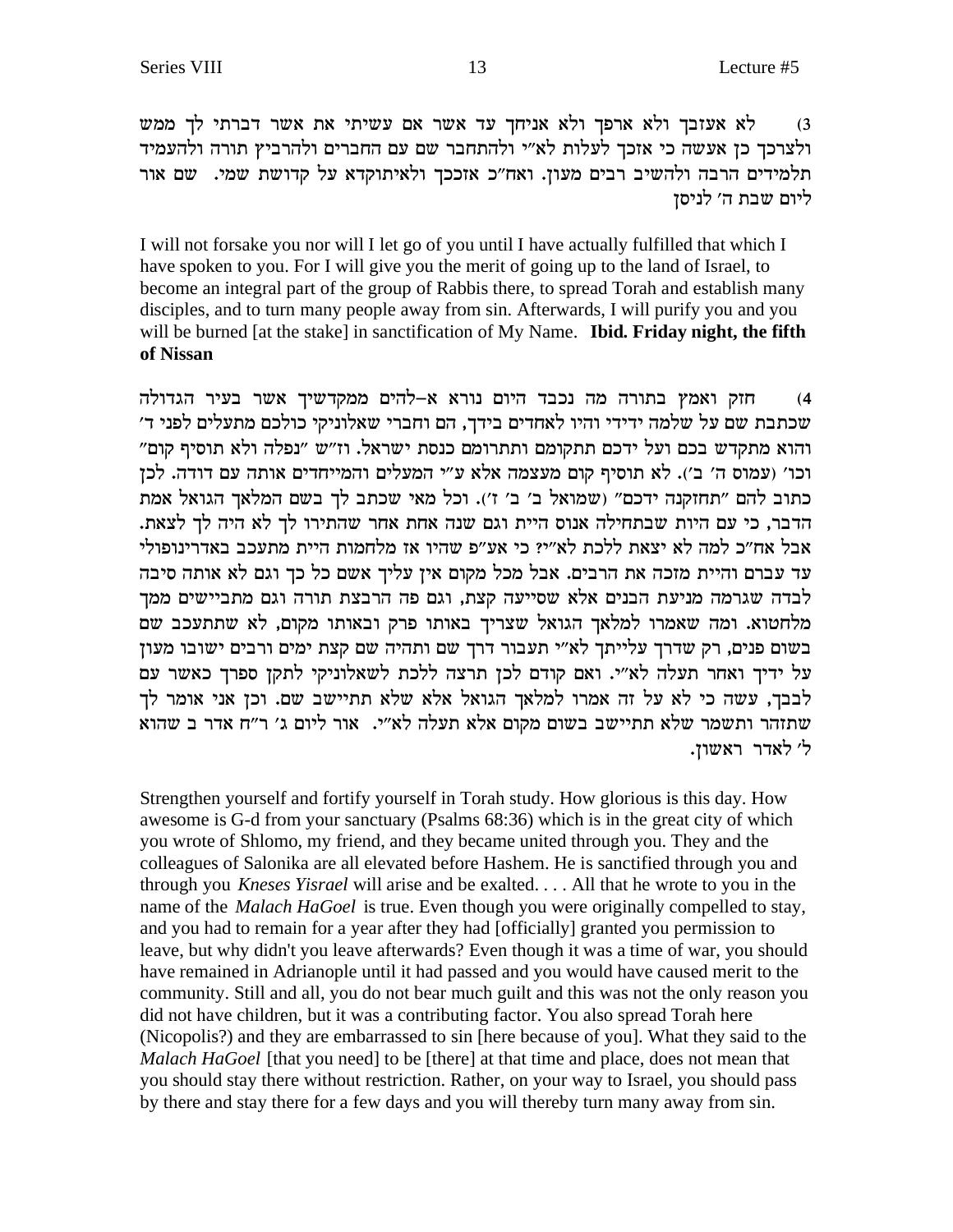לא אעזבך ולא ארפך ולא אניחך עד אשר אם עשיתי את אשר דברתי לך ממש  $(3)$ ולצרכך כן אעשה כי אזכך לעלות לא"י ולהתחבר שם עם החברים ולהרביץ תורה ולהעמיד תלמידים הרבה ולהשיב רבים מעון. ואח"כ אזככך ולאיתוקדא על קדושת שמי. שם אור ליום שבת ה׳ לניסן

I will not forsake you nor will I let go of you until I have actually fulfilled that which I have spoken to you. For I will give you the merit of going up to the land of Israel, to become an integral part of the group of Rabbis there, to spread Torah and establish many disciples, and to turn many people away from sin. Afterwards, I will purify you and you will be burned [at the stake] in sanctification of My Name. Ibid. Friday night, the fifth of Nissan

חזק ואמץ בתורה מה נכבד היום נורא א–להים ממקדשיך אשר בעיר הגדולה  $(4)$ שכתבת שם על שלמה ידידי והיו לאחדים בידך, הם וחברי שאלוניקי כולכם מתעלים לפני ד' והוא מתקדש בכם ועל ידכם תתקומם ותתרומם כנסת ישראל. וז״ש ״נפלה ולא תוסיף קום״ וכו' (עמוס ה' ב'). לא תוסיף קום מעצמה אלא ע"י המעלים והמייחדים אותה עם דודה. לכן כתוב להם "תחזקנה ידכם" (שמואל ב' ב' ז'). וכל מאי שכתב לך בשם המלאך הגואל אמת הדבר, כי עם היות שבתחילה אנוס היית וגם שנה אחת אחר שהתירו לך לא היה לך לצאת. אבל אח״כ למה לא יצאת ללכת לא״י? כי אע״פ שהיו אז מלחמות היית מתעכב באדרינופולי עד עברם והיית מזכה את הרבים. אבל מכל מקום אין עליך אשם כל כך וגם לא אותה סיבה לבדה שגרמה מניעת הבנים אלא שסייעה קצת, וגם פה הרבצת תורה וגם מתביישים ממך מלחטוא. ומה שאמרו למלאך הגואל שצריך באותו פרק ובאותו מקום, לא שתתעכב שם בשום פנים, רק שדרך עלייתך לא"י תעבור דרך שם ותהיה שם קצת ימים ורבים ישובו מעון על ידיך ואחר תעלה לא"י. ואם קודם לכן תרצה ללכת לשאלוניקי לתקן ספרך כאשר עם לבבך, עשה כי לא על זה אמרו למלאך הגואל אלא שלא תתיישב שם. וכן אני אומר לך שתזהר ותשמר שלא תתיישב בשום מקום אלא תעלה לא"י. אור ליום ג' ר"ח אדר ב שהוא ל' לאדר ראשון.

Strengthen yourself and fortify yourself in Torah study. How glorious is this day. How awesome is G-d from your sanctuary (Psalms 68:36) which is in the great city of which you wrote of Shlomo, my friend, and they became united through you. They and the colleagues of Salonika are all elevated before Hashem. He is sanctified through you and through you *Kneses Yisrael* will arise and be exalted.... All that he wrote to you in the name of the *Malach HaGoel* is true. Even though you were originally compelled to stay, and you had to remain for a year after they had [officially] granted you permission to leave, but why didn't you leave afterwards? Even though it was a time of war, you should have remained in Adrianople until it had passed and you would have caused merit to the community. Still and all, you do not bear much guilt and this was not the only reason you did not have children, but it was a contributing factor. You also spread Torah here (Nicopolis?) and they are embarrassed to sin [here because of you]. What they said to the Malach HaGoel [that you need] to be [there] at that time and place, does not mean that you should stay there without restriction. Rather, on your way to Israel, you should pass by there and stay there for a few days and you will thereby turn many away from sin.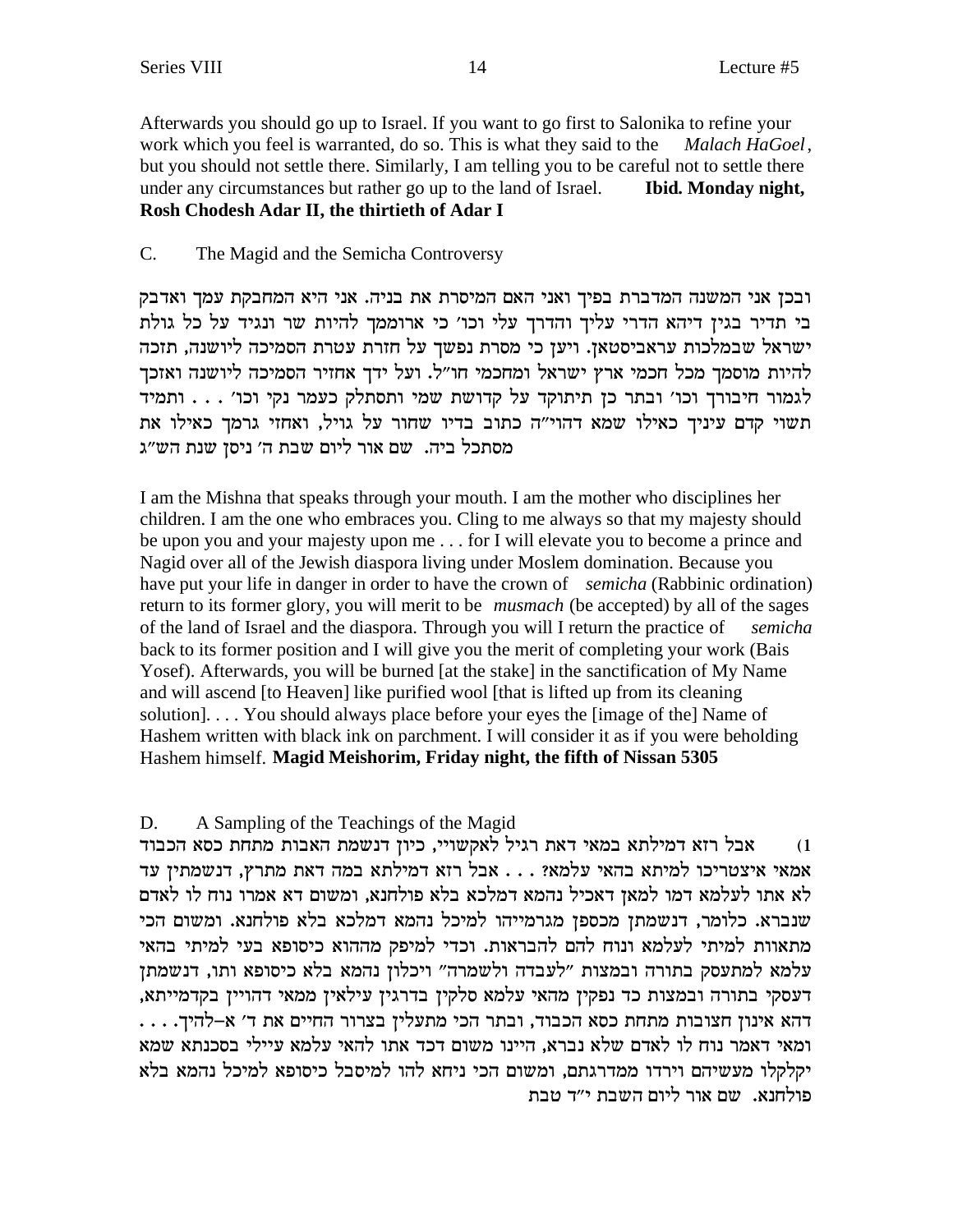Afterwards you should go up to Israel. If you want to go first to Salonika to refine your work which you feel is warranted, do so. This is what they said to the *Malach HaGoel*, but you should not settle there. Similarly, I am telling you to be careful not to settle there under any circumstances but rather go up to the land of Israel. **Ibid. Monday night, Rosh Chodesh Adar II, the thirtieth of Adar I**

### C. The Magid and the Semicha Controversy

ובכן אני המשנה המדברת בפיך ואני האם המיסרת את בניה. אני היא המחבקת עמך ואדבק בי תדיר בגין דיהא הדרי עליך והדרך עלי וכו׳ כי ארוממך להיות שר ונגיד על כל גולת ישראל שבמלכות עראביסטאז. ויעז כי מסרת נפשד על חזרת עטרת הסמיכה ליושנה, תזכה להיות מוסמך מכל חכמי ארץ ישראל ומחכמי חו"ל. ועל ידך אחזיר הסמיכה ליושנה ואזכך לגמור חיבורך וכו׳ ובתר כן תיתוקד על קדושת שמי ותסתלק כעמר נקי וכו׳ . . . ותמיד תשוי קדם עיניך כאילו שמא דהוי"ה כתוב בדיו שחור על גויל, ואחזי גרמך כאילו את מסתכל ביה. שם אור ליום שבת ה' ניסן שנת הש"ג

I am the Mishna that speaks through your mouth. I am the mother who disciplines her children. I am the one who embraces you. Cling to me always so that my majesty should be upon you and your majesty upon me . . . for I will elevate you to become a prince and Nagid over all of the Jewish diaspora living under Moslem domination. Because you have put your life in danger in order to have the crown of *semicha* (Rabbinic ordination) return to its former glory, you will merit to be *musmach* (be accepted) by all of the sages of the land of Israel and the diaspora. Through you will I return the practice of *semicha* back to its former position and I will give you the merit of completing your work (Bais Yosef). Afterwards, you will be burned [at the stake] in the sanctification of My Name and will ascend [to Heaven] like purified wool [that is lifted up from its cleaning solution]. . . . You should always place before your eyes the [image of the] Name of Hashem written with black ink on parchment. I will consider it as if you were beholding Hashem himself. **Magid Meishorim, Friday night, the fifth of Nissan 5305**

## D. A Sampling of the Teachings of the Magid

אבל רזא דמילתא במאי דאת רגיל לאקשויי, כיון דנשמת האבות מתחת כסא הכבוד  $\,$ אמאי איצטריכו למיתא בהאי עלמא? . . . אבל רזא דמילתא במה דאת מתרץ, דנשמתין עד לא אתו לעלמא דמו למאן דאכיל נהמא דמלכא בלא פולחנא, ומשום דא אמרו נוח לו לאדם יענברא. כלומר, דנשמתן מכספן מגרמייהו למיכל נהמא דמלכא בלא פולחנא. ומשום הכי מתאוות למיתי לעלמא ונוח להם להבראות. וכדי למיפק מההוא כיסופא בעי למיתי בהאי עלמא למתעסק בתורה ובמצות "לעבדה ולשמרה" ויכלון נהמא בלא כיסופא ותו, דנשמתן , דעסקי בתורה ובמצות כד נפקין מהאי עלמא סלקין בדרגין עילאין ממאי דהויין בקדמייתא . . . .דהא אינון חצובות מתחת כסא הכבוד, ובתר הכי מתעלין בצרור החיים את ד' א-להיך ומאי דאמר נוח לו לאדם שלא נברא, היינו משום דכד אתו להאי עלמא עיילי בסכנתא שמא יקלקלו מעשיהם וירדו ממדרגתם, ומשום הכי ניחא להו למיסבל כיסופא למיכל נהמא בלא פולחנא. שם אור ליום השבת י״ד טבת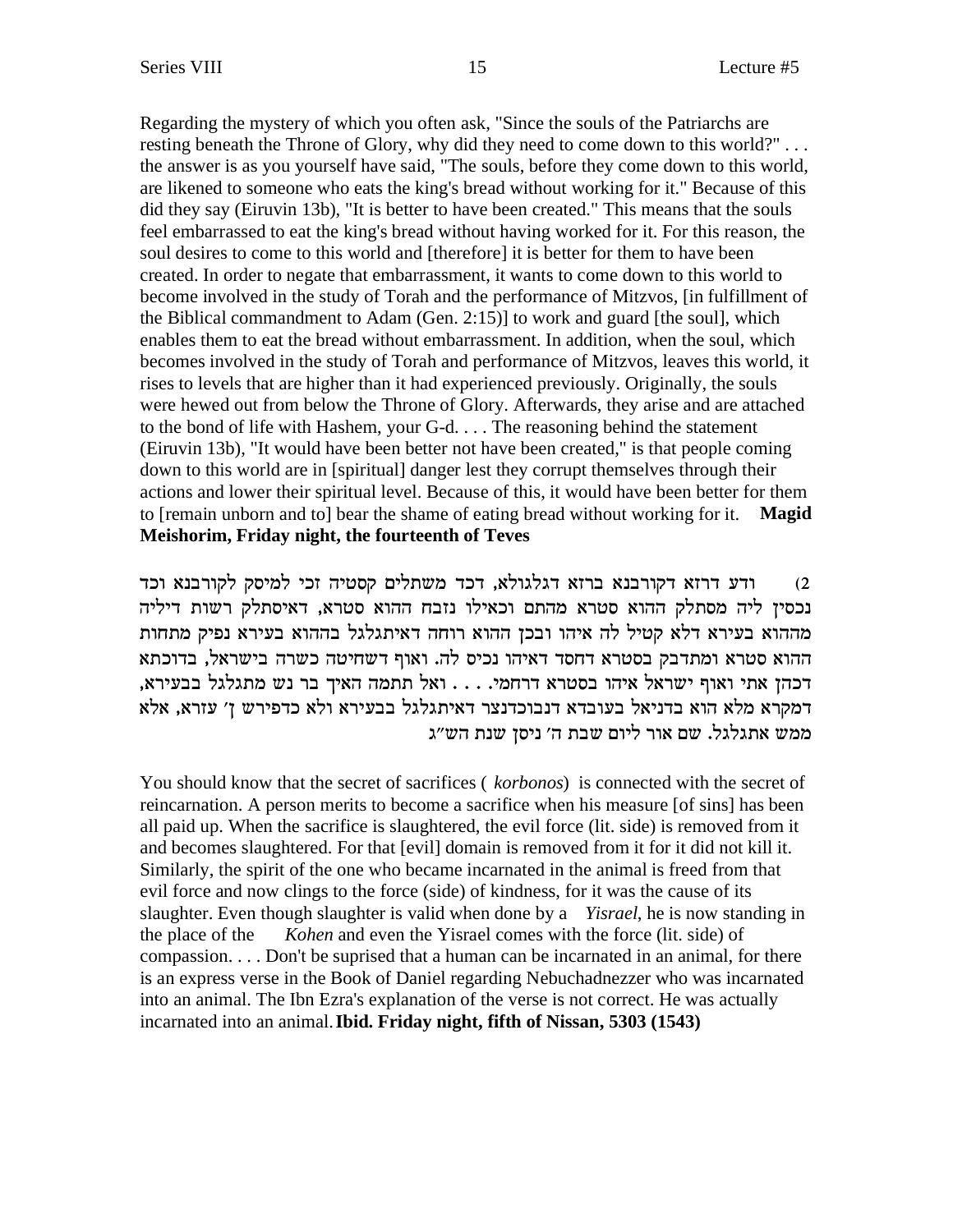Regarding the mystery of which you often ask, "Since the souls of the Patriarchs are resting beneath the Throne of Glory, why did they need to come down to this world?"... the answer is as you yourself have said, "The souls, before they come down to this world, are likened to someone who eats the king's bread without working for it." Because of this did they say (Eiruvin 13b), "It is better to have been created." This means that the souls feel embarrassed to eat the king's bread without having worked for it. For this reason, the soul desires to come to this world and [therefore] it is better for them to have been created. In order to negate that embarrassment, it wants to come down to this world to become involved in the study of Torah and the performance of Mitzvos, [in fulfillment of the Biblical commandment to Adam (Gen. 2:15)] to work and guard [the soul], which enables them to eat the bread without embarrassment. In addition, when the soul, which becomes involved in the study of Torah and performance of Mitzvos, leaves this world, it rises to levels that are higher than it had experienced previously. Originally, the souls were hewed out from below the Throne of Glory. Afterwards, they arise and are attached to the bond of life with Hashem, your G-d. . . . The reasoning behind the statement (Eiruvin 13b), "It would have been better not have been created," is that people coming down to this world are in [spiritual] danger lest they corrupt themselves through their actions and lower their spiritual level. Because of this, it would have been better for them to [remain unborn and to] bear the shame of eating bread without working for it. **Magid** Meishorim, Friday night, the fourteenth of Teves

ודע דרזא דקורבנא ברזא דגלגולא, דכד משתלים קסטיה זכי למיסק לקורבנא וכד  $(2)$ נכסין ליה מסתלק ההוא סטרא מהתם וכאילו נזבח ההוא סטרא, דאיסתלק רשות דיליה מההוא בעירא דלא קטיל לה איהו ובכן ההוא רוחה דאיתגלגל בההוא בעירא נפיק מתחות ההוא סטרא ומתדבק בסטרא דחסד דאיהו נכיס לה. ואוף דשחיטה כשרה בישראל, בדוכתא דכהן אתי ואוף ישראל איהו בסטרא דרחמי. . . . ואל תתמה האיך בר נש מתגלגל בבעירא, דמקרא מלא הוא בדניאל בעובדא דנבוכדנצר דאיתגלגל בבעירא ולא כדפירש ז' עזרא, אלא ממש אתגלגל. שם אור ליום שבת ה' ניסן שנת הש"ג

You should know that the secret of sacrifices (*korbonos*) is connected with the secret of reincarnation. A person merits to become a sacrifice when his measure [of sins] has been all paid up. When the sacrifice is slaughtered, the evil force (lit. side) is removed from it and becomes slaughtered. For that [evil] domain is removed from it for it did not kill it. Similarly, the spirit of the one who became incarnated in the animal is freed from that evil force and now clings to the force (side) of kindness, for it was the cause of its slaughter. Even though slaughter is valid when done by a *Yisrael*, he is now standing in Kohen and even the Yisrael comes with the force (lit. side) of the place of the compassion.... Don't be suprised that a human can be incarnated in an animal, for there is an express verse in the Book of Daniel regarding Nebuchadnezzer who was incarnated into an animal. The Ibn Ezra's explanation of the verse is not correct. He was actually incarnated into an animal. **Ibid. Friday night, fifth of Nissan, 5303** (1543)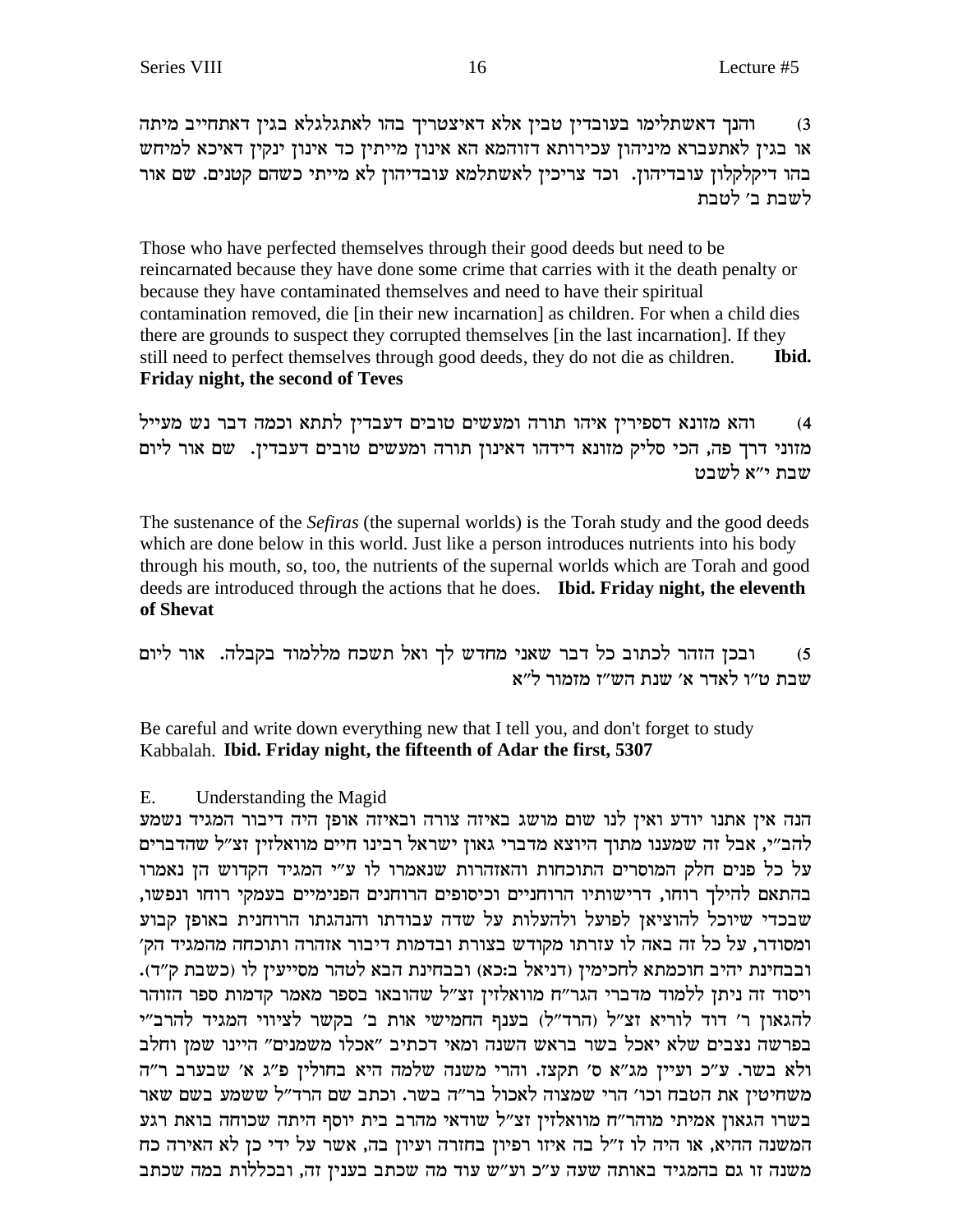והנך דאשתלימו בעובדין טבין אלא דאיצטריך בהו לאתגלגלא בגין דאתחייב מיתה  $(3)$ או בגין לאתעברא מיניהון עכירותא דזוהמא הא אינון מייתין כד אינון ינקין דאיכא למיחש בהו דיקלקלון עובדיהון. וכד צריכין לאשתלמא עובדיהון לא מייתי כשהם קטנים. שם אור לשבת ב׳ לטבת

Those who have perfected themselves through their good deeds but need to be reincarnated because they have done some crime that carries with it the death penalty or because they have contaminated themselves and need to have their spiritual contamination removed, die [in their new incarnation] as children. For when a child dies there are grounds to suspect they corrupted themselves [in the last incarnation]. If they still need to perfect themselves through good deeds, they do not die as children. Ibid. Friday night, the second of Teves

והא מזונא דספירין איהו תורה ומעשים טובים דעבדין לתתא וכמה דבר נש מעייל  $(4)$ מזוני דרך פה, הכי סליק מזונא דידהו דאינון תורה ומעשים טובים דעבדין. שם אור ליום שבת י״א לשבט

The sustenance of the Sefiras (the supernal worlds) is the Torah study and the good deeds which are done below in this world. Just like a person introduces nutrients into his body through his mouth, so, too, the nutrients of the supernal worlds which are Torah and good deeds are introduced through the actions that he does. Ibid. Friday night, the eleventh of Shevat

ובכן הזהר לכתוב כל דבר שאני מחדש לך ואל תשכח מללמוד בקבלה. אור ליום  $(5)$ שבת ט״ו לאדר א׳ שנת הש״ז מזמור ל״א

Be careful and write down everything new that I tell you, and don't forget to study Kabbalah. Ibid. Friday night, the fifteenth of Adar the first, 5307

### Ε. Understanding the Magid

הנה אין אתנו יודע ואין לנו שום מושג באיזה צורה ובאיזה אופן היה דיבור המגיד נשמע להב״י, אבל זה שמענו מתוך היוצא מדברי גאון ישראל רבינו חיים מוואלזין זצ״ל שהדברים על כל פנים חלק המוסרים התוכחות והאזהרות שנאמרו לו ע"י המגיד הקדוש הן נאמרו בהתאם להילך רוחו, דרישותיו הרוחניים וכיסופים הרוחנים הפנימיים בעמקי רוחו ונפשו, שבכדי שיוכל להוציאן לפועל ולהעלות על שדה עבודתו והנהגתו הרוחנית באופן קבוע ומסודר, על כל זה באה לו עזרתו מקודש בצורת ובדמות דיבור אזהרה ותוכחה מהמגיד הק׳ ובבחינת יהיב חוכמתא לחכימין (דניאל ב:כא) ובבחינת הבא לטהר מסייעין לו (כשבת ק"ד). ויסוד זה ניתן ללמוד מדברי הגר"ח מוואלזין זצ"ל שהובאו בספר מאמר קדמות ספר הזוהר להגאון ר' דוד לוריא זצ"ל (הרד"ל) בענף החמישי אות ב' בקשר לציווי המגיד להרב"י בפרשה נצבים שלא יאכל בשר בראש השנה ומאי דכתיב "אכלו משמנים" היינו שמן וחלב ולא בשר. ע"כ ועיין מג"א ס' תקצז. והרי משנה שלמה היא בחולין פ"ג א' שבערב ר"ה משחיטין את הטבח וכו' הרי שמצוה לאכול בר"ה בשר. וכתב שם הרד"ל ששמע בשם שאר בשרו הגאון אמיתי מוהר"ח מוואלזין זצ"ל שודאי מהרב בית יוסף היתה שכוחה בואת רגע המשנה ההיא, או היה לו ז"ל בה איזו רפיון בחזרה ועיון בה, אשר על ידי כן לא האירה כח משנה זו גם בהמגיד באותה שעה ע״כ וע״ש עוד מה שכתב בענין זה, ובכללות במה שכתב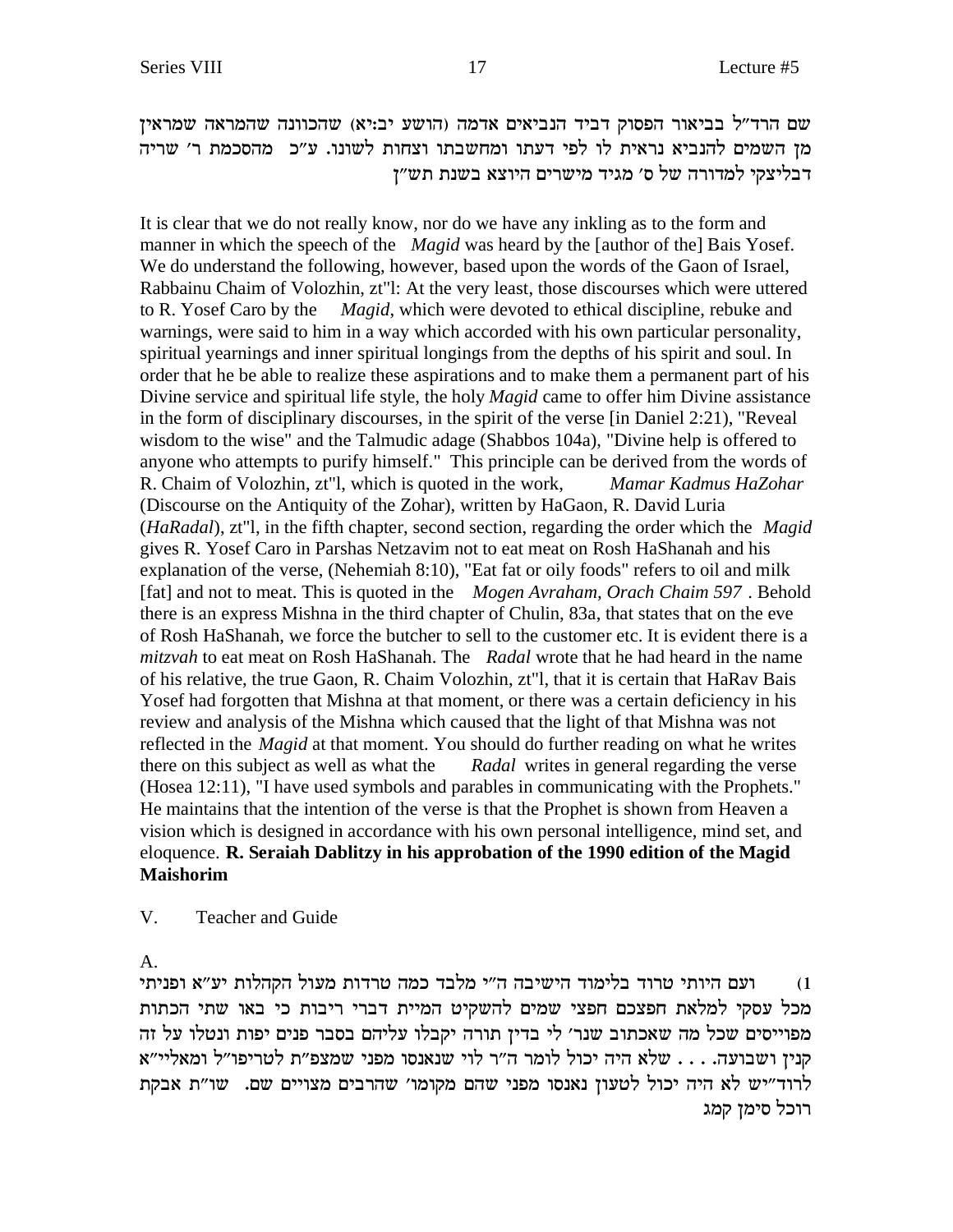שם הרד״ל בביאור הפסוק דביד הנביאים אדמה (הושע יב:יא) שהכוונה שהמראה שמראין מן השמים להנביא נראית לו לפי דעתו ומחשבתו וצחות לשונו. ע"כ מהסכמת ר' שריה דבליצקי למדורה של ס׳ מגיד מישרים היוצא בשנת תש״ן

It is clear that we do not really know, nor do we have any inkling as to the form and manner in which the speech of the *Magid* was heard by the [author of the] Bais Yosef. We do understand the following, however, based upon the words of the Gaon of Israel, Rabbainu Chaim of Volozhin, zt"l: At the very least, those discourses which were uttered to R. Yosef Caro by the *Magid*, which were devoted to ethical discipline, rebuke and warnings, were said to him in a way which accorded with his own particular personality, spiritual yearnings and inner spiritual longings from the depths of his spirit and soul. In order that he be able to realize these aspirations and to make them a permanent part of his Divine service and spiritual life style, the holy *Magid* came to offer him Divine assistance in the form of disciplinary discourses, in the spirit of the verse [in Daniel 2:21), "Reveal wisdom to the wise" and the Talmudic adage (Shabbos 104a), "Divine help is offered to anyone who attempts to purify himself." This principle can be derived from the words of R. Chaim of Volozhin, zt"l, which is quoted in the work, *Mamar Kadmus HaZohar* (Discourse on the Antiquity of the Zohar), written by HaGaon, R. David Luria (*HaRadal*), zt"l, in the fifth chapter, second section, regarding the order which the *Magid* gives R. Yosef Caro in Parshas Netzavim not to eat meat on Rosh HaShanah and his explanation of the verse, (Nehemiah 8:10), "Eat fat or oily foods" refers to oil and milk [fat] and not to meat. This is quoted in the *Mogen Avraham, Orach Chaim 597* . Behold there is an express Mishna in the third chapter of Chulin, 83a, that states that on the eve of Rosh HaShanah, we force the butcher to sell to the customer etc. It is evident there is a *mitzvah* to eat meat on Rosh HaShanah. The *Radal* wrote that he had heard in the name of his relative, the true Gaon, R. Chaim Volozhin, zt"l, that it is certain that HaRav Bais Yosef had forgotten that Mishna at that moment, or there was a certain deficiency in his review and analysis of the Mishna which caused that the light of that Mishna was not reflected in the *Magid* at that moment. You should do further reading on what he writes there on this subject as well as what the *Radal* writes in general regarding the verse (Hosea 12:11), "I have used symbols and parables in communicating with the Prophets." He maintains that the intention of the verse is that the Prophet is shown from Heaven a vision which is designed in accordance with his own personal intelligence, mind set, and eloquence. **R. Seraiah Dablitzy in his approbation of the 1990 edition of the Magid Maishorim**

### V. Teacher and Guide

A.

ועם היותי טרוד בלימוד הישיבה ה"י מלבד כמה טרדות מעול הקהלות יע"א ופניתי (1 מכל עסקי למלאת חפצכם חפצי שמים להשקיט המיית דברי ריבות כי באו שתי הכתות מפוייסים שכל מה שאכתוב שנר׳ לי בדין תורה יקבלו עליהם בסבר פנים יפות ונטלו על זה קנין ושבועה. . . . שלא היה יכול לומר ה"ר לוי שנאנסו מפני שמצפ"ת לטריפו"ל ומאליי"א לרוד"יש לא היה יכול לטעון נאנסו מפני שהם מקומו' שהרבים מצויים שם. שו"ת אבקת רוכל סימן קמג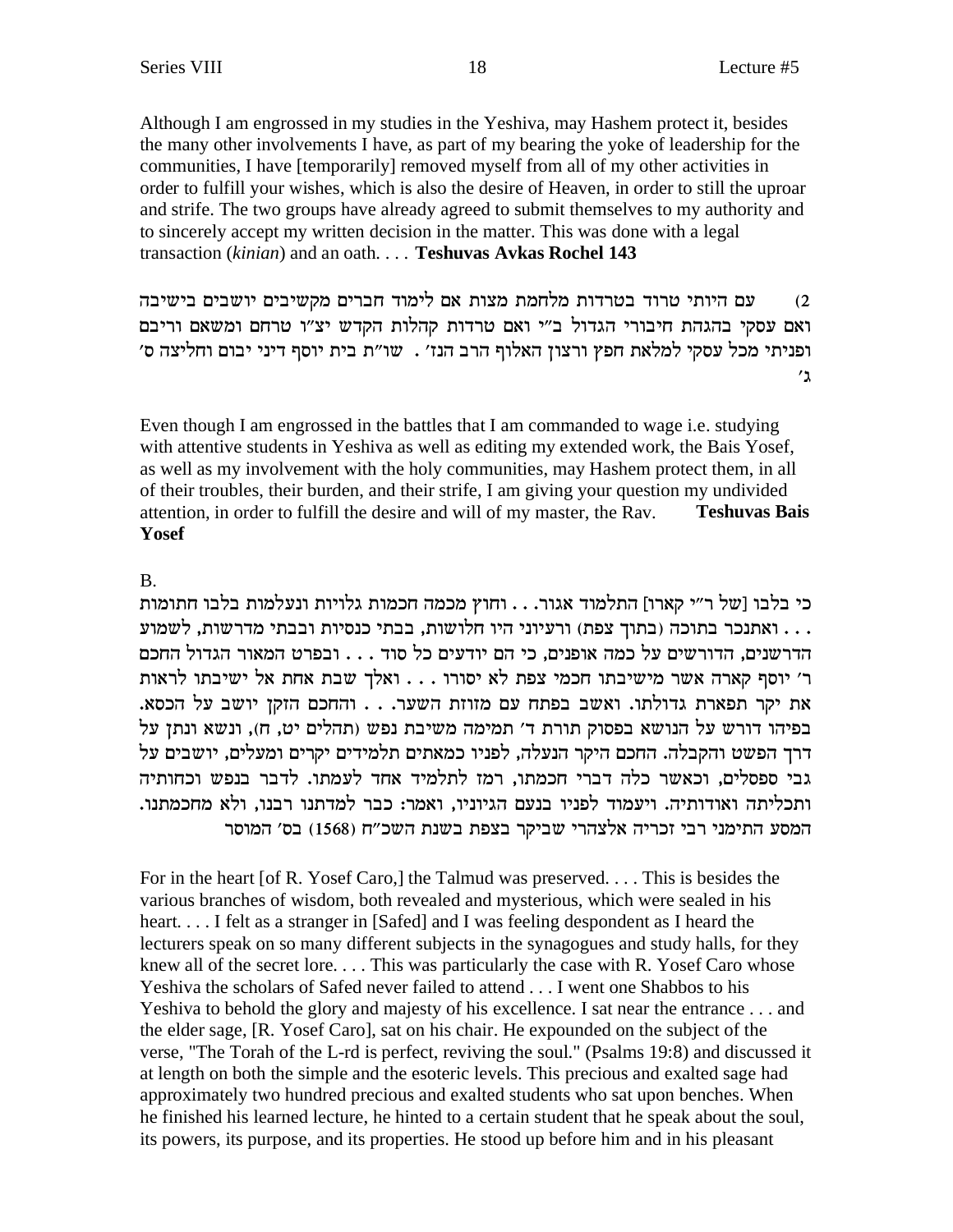Although I am engrossed in my studies in the Yeshiva, may Hashem protect it, besides the many other involvements I have, as part of my bearing the yoke of leadership for the communities, I have [temporarily] removed myself from all of my other activities in order to fulfill your wishes, which is also the desire of Heaven, in order to still the uproar and strife. The two groups have already agreed to submit themselves to my authority and to sincerely accept my written decision in the matter. This was done with a legal transaction (kinian) and an oath.... Teshuvas Avkas Rochel 143

עם היותי טרוד בטרדות מלחמת מצות אם לימוד חברים מקשיבים יושבים בישיבה  $(2)$ ואם עסקי בהגהת חיבורי הגדול ב"י ואם טרדות קהלות הקדש יצ"ו טרחם ומשאם וריבם ופניתי מכל עסקי למלאת חפץ ורצון האלוף הרב הנז׳ . שו״ת בית יוסף דיני יבום וחליצה ס׳  $'$ ג

Even though I am engrossed in the battles that I am commanded to wage i.e. studying with attentive students in Yeshiva as well as editing my extended work, the Bais Yosef, as well as my involvement with the holy communities, may Hashem protect them, in all of their troubles, their burden, and their strife, I am giving your question my undivided attention, in order to fulfill the desire and will of my master, the Rav. **Teshuvas Bais Yosef** 

## $\mathbf{B}$

כי בלבו [של ר״י קארו] התלמוד אגור. . . וחוץ מכמה חכמות גלויות ונעלמות בלבו חתומות . . . ואתנכר בתוכה (בתוך צפת) ורעיוני היו חלושות, בבתי כנסיות ובבתי מדרשות, לשמוע הדרשנים, הדורשים על כמה אופנים, כי הם יודעים כל סוד . . . ובפרט המאור הגדול החכם ר' יוסף קארה אשר מישיבתו חכמי צפת לא יסורו . . . ואלך שבת אחת אל ישיבתו לראות את יקר תפארת גדולתו. ואשב בפתח עם מזוזת השער. . . והחכם הזקז יושב על הכסא. בפיהו דורש על הנושא בפסוק תורת ד' תמימה משיבת נפש (תהלים יט, ח), ונשא ונתן על דרך הפשט והקבלה. החכם היקר הנעלה, לפניו כמאתים תלמידים יקרים ומעלים, יושבים על גבי ספסלים, וכאשר כלה דברי חכמתו, רמז לתלמיד אחד לעמתו. לדבר בנפש וכחותיה ותכליתה ואודותיה. ויעמוד לפניו בנעם הגיוניו, ואמר: כבר למדתנו רבנו, ולא מחכמתנו. המסע התימני רבי זכריה אלצהרי שביקר בצפת בשנת השכ"ח (1568) בס' המוסר

For in the heart [of R. Yosef Caro,] the Talmud was preserved.... This is besides the various branches of wisdom, both revealed and mysterious, which were sealed in his heart.... I felt as a stranger in [Safed] and I was feeling despondent as I heard the lecturers speak on so many different subjects in the synagogues and study halls, for they knew all of the secret lore.... This was particularly the case with R. Yosef Caro whose Yeshiva the scholars of Safed never failed to attend . . . I went one Shabbos to his Yeshiva to behold the glory and majesty of his excellence. I sat near the entrance ... and the elder sage, [R. Yosef Caro], sat on his chair. He expounded on the subject of the verse, "The Torah of the L-rd is perfect, reviving the soul." (Psalms 19:8) and discussed it at length on both the simple and the esoteric levels. This precious and exalted sage had approximately two hundred precious and exalted students who sat upon benches. When he finished his learned lecture, he hinted to a certain student that he speak about the soul, its powers, its purpose, and its properties. He stood up before him and in his pleasant